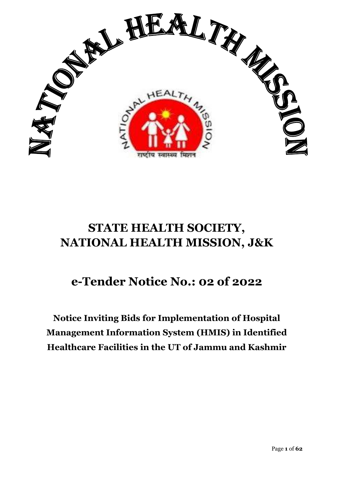

# **STATE HEALTH SOCIETY, NATIONAL HEALTH MISSION, J&K**

# **e-Tender Notice No.: 02 of 2022**

**Notice Inviting Bids for Implementation of Hospital Management Information System (HMIS) in Identified Healthcare Facilities in the UT of Jammu and Kashmir**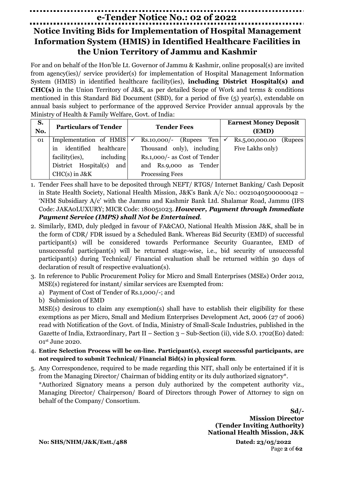# **e-Tender Notice No.: 02 of 2022**

# **Notice Inviting Bids for Implementation of Hospital Management Information System (HMIS) in Identified Healthcare Facilities in the Union Territory of Jammu and Kashmir**

For and on behalf of the Hon'ble Lt. Governor of Jammu & Kashmir, online proposal(s) are invited from agency(ies)/ service provider(s) for implementation of Hospital Management Information System (HMIS) in identified healthcare facility(ies), **including District Hospital(s) and CHC(s)** in the Union Territory of J&K, as per detailed Scope of Work and terms & conditions mentioned in this Standard Bid Document (SBD), for a period of five (5) year(s), extendable on annual basis subject to performance of the approved Service Provider annual approvals by the Ministry of Health & Family Welfare, Govt. of India:

| S.<br>No. | <b>Particulars of Tender</b>        | <b>Tender Fees</b>               | <b>Earnest Money Deposit</b><br>(EMD) |         |
|-----------|-------------------------------------|----------------------------------|---------------------------------------|---------|
| 01        | Implementation of HMIS $\checkmark$ | Ten<br>$Rs.10,000/-$<br>(Rupees) | Rs.5,00,000.00                        | (Rupees |
|           | identified<br>healthcare<br>1n      | Thousand only), including        | Five Lakhs only)                      |         |
|           | including<br>facility(ies),         | Rs.1,000/- as Cost of Tender     |                                       |         |
|           | District Hospital(s)<br>and         | and Rs.9,000 as Tender           |                                       |         |
|           | $CHC(s)$ in $J&K$                   | <b>Processing Fees</b>           |                                       |         |

- 1. Tender Fees shall have to be deposited through NEFT/ RTGS/ Internet Banking/ Cash Deposit in State Health Society, National Health Mission, J&K's Bank A/c No.: 0021040500000042 – 'NHM Subsidiary A/c' with the Jammu and Kashmir Bank Ltd. Shalamar Road, Jammu (IFS Code: JAKA0LUXURY; MICR Code: 180051023. *However, Payment through Immediate Payment Service (IMPS) shall Not be Entertained*.
- 2. Similarly, EMD, duly pledged in favour of FA&CAO, National Health Mission J&K, shall be in the form of CDR/ FDR issued by a Scheduled Bank. Whereas Bid Security (EMD) of successful participant(s) will be considered towards Performance Security Guarantee, EMD of unsuccessful participant(s) will be returned stage-wise, i.e., bid security of unsuccessful participant(s) during Technical/ Financial evaluation shall be returned within 30 days of declaration of result of respective evaluation(s).
- 3. In reference to Public Procurement Policy for Micro and Small Enterprises (MSEs) Order 2012, MSE(s) registered for instant/ similar services are Exempted from:
	- a) Payment of Cost of Tender of Rs.1,000/-; and
	- b) Submission of EMD

MSE(s) desirous to claim any exemption(s) shall have to establish their eligibility for these exemptions as per Micro, Small and Medium Enterprises Development Act, 2006 (27 of 2006) read with Notification of the Govt. of India, Ministry of Small-Scale Industries, published in the Gazette of India, Extraordinary, Part II – Section  $3$  – Sub-Section (ii), vide S.O. 1702(E0) dated: 01st June 2020.

- 4. **Entire Selection Process will be on-line. Participant(s), except successful participants, are not required to submit Technical/ Financial Bid(s) in physical form**.
- 5. Any Correspondence, required to be made regarding this NIT, shall only be entertained if it is from the Managing Director/ Chairman of bidding entity or its duly authorized signatory\*.

\*Authorized Signatory means a person duly authorized by the competent authority viz., Managing Director/ Chairperson/ Board of Directors through Power of Attorney to sign on behalf of the Company/ Consortium.

> **Sd/- Mission Director (Tender Inviting Authority) National Health Mission, J&K**

**No: SHS/NHM/J&K/Estt./488 Dated: 23/05/2022**

Page **2** of **62**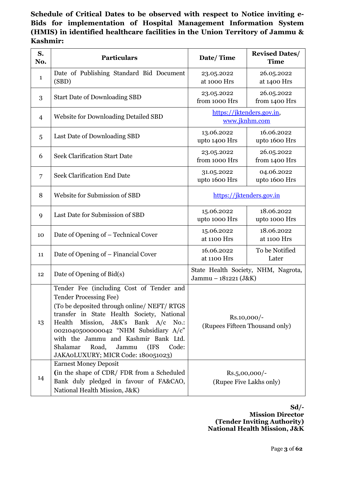**Schedule of Critical Dates to be observed with respect to Notice inviting e-Bids for implementation of Hospital Management Information System (HMIS) in identified healthcare facilities in the Union Territory of Jammu & Kashmir:**

| S.<br>No. | <b>Particulars</b>                                                                                                                                                                                                                                                                                                                                                                              | Date/Time                                     | <b>Revised Dates/</b><br><b>Time</b> |
|-----------|-------------------------------------------------------------------------------------------------------------------------------------------------------------------------------------------------------------------------------------------------------------------------------------------------------------------------------------------------------------------------------------------------|-----------------------------------------------|--------------------------------------|
| 1         | Date of Publishing Standard Bid Document<br>(SBD)                                                                                                                                                                                                                                                                                                                                               | 23.05.2022<br>at 1000 Hrs                     | 26.05.2022<br>at 1400 Hrs            |
| 3         | <b>Start Date of Downloading SBD</b>                                                                                                                                                                                                                                                                                                                                                            | 23.05.2022<br>from 1000 Hrs                   | 26.05.2022<br>from 1400 Hrs          |
| 4         | <b>Website for Downloading Detailed SBD</b>                                                                                                                                                                                                                                                                                                                                                     | https://jktenders.gov.in,<br>www.jknhm.com    |                                      |
| 5         | Last Date of Downloading SBD                                                                                                                                                                                                                                                                                                                                                                    | 13.06.2022<br>upto 1400 Hrs                   | 16.06.2022<br>upto 1600 Hrs          |
| 6         | <b>Seek Clarification Start Date</b>                                                                                                                                                                                                                                                                                                                                                            | 23.05.2022<br>from 1000 Hrs                   | 26.05.2022<br>from 1400 Hrs          |
| 7         | <b>Seek Clarification End Date</b>                                                                                                                                                                                                                                                                                                                                                              | 31.05.2022<br>upto 1600 Hrs                   | 04.06.2022<br>upto 1600 Hrs          |
| 8         | Website for Submission of SBD                                                                                                                                                                                                                                                                                                                                                                   | https://jktenders.gov.in                      |                                      |
| 9         | Last Date for Submission of SBD                                                                                                                                                                                                                                                                                                                                                                 | 15.06.2022<br>upto 1000 Hrs                   | 18.06.2022<br>upto 1000 Hrs          |
| 10        | Date of Opening of – Technical Cover                                                                                                                                                                                                                                                                                                                                                            | 15.06.2022<br>at 1100 Hrs                     | 18.06.2022<br>at 1100 Hrs            |
| 11        | Date of Opening of – Financial Cover                                                                                                                                                                                                                                                                                                                                                            | 16.06.2022<br>at 1100 Hrs                     | To be Notified<br>Later              |
| 12        | Date of Opening of Bid(s)                                                                                                                                                                                                                                                                                                                                                                       | Jammu - 181221 (J&K)                          | State Health Society, NHM, Nagrota,  |
| 13        | Tender Fee (including Cost of Tender and<br><b>Tender Processing Fee)</b><br>(To be deposited through online/ NEFT/ RTGS<br>transfer in State Health Society, National<br>Health<br>J&K's Bank A/c<br>Mission,<br>$No.$ :<br>0021040500000042 "NHM Subsidiary A/c"<br>with the Jammu and Kashmir Bank Ltd.<br>Shalamar<br>Road,<br>Jammu<br>(IFS<br>Code:<br>JAKAOLUXURY; MICR Code: 180051023) | Rs.10,000/-<br>(Rupees Fifteen Thousand only) |                                      |
| 14        | <b>Earnest Money Deposit</b><br>(in the shape of CDR/FDR from a Scheduled<br>Bank duly pledged in favour of FA&CAO,<br>National Health Mission, J&K)                                                                                                                                                                                                                                            | $Rs.5,00,000/-$<br>(Rupee Five Lakhs only)    |                                      |

**Sd/- Mission Director (Tender Inviting Authority) National Health Mission, J&K**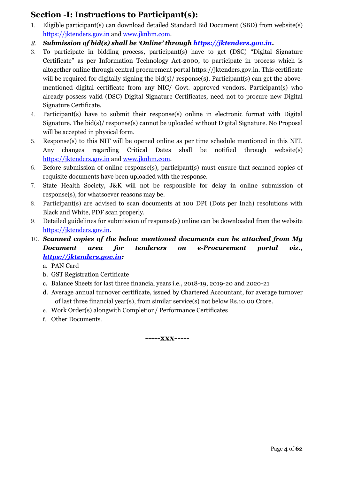### **Section -I: Instructions to Participant(s):**

- 1. Eligible participant(s) can download detailed Standard Bid Document (SBD) from website(s) [https://jktenders.gov.in](https://jktenders.gov.in/) and [www.jknhm.com.](http://www.jknhm.com/)
- 2. *Submission of bid(s) shall be 'Online' through [https://jktenders.gov.in.](https://jktenders.gov.in/)*
- 3. To participate in bidding process, participant(s) have to get (DSC) "Digital Signature Certificate" as per Information Technology Act-2000, to participate in process which is altogether online through central procurement portal https://jktenders.gov.in. This certificate will be required for digitally signing the bid(s)/ response(s). Participant(s) can get the abovementioned digital certificate from any NIC/ Govt. approved vendors. Participant(s) who already possess valid (DSC) Digital Signature Certificates, need not to procure new Digital Signature Certificate.
- 4. Participant(s) have to submit their response(s) online in electronic format with Digital Signature. The bid(s)/ response(s) cannot be uploaded without Digital Signature. No Proposal will be accepted in physical form.
- 5. Response(s) to this NIT will be opened online as per time schedule mentioned in this NIT. Any changes regarding Critical Dates shall be notified through website(s) [https://jktenders.gov.in](https://jktenders.gov.in/) and [www.jknhm.com.](http://www.jknhm.com/)
- 6. Before submission of online response(s), participant(s) must ensure that scanned copies of requisite documents have been uploaded with the response.
- 7. State Health Society, J&K will not be responsible for delay in online submission of response(s), for whatsoever reasons may be.
- 8. Participant(s) are advised to scan documents at 100 DPI (Dots per Inch) resolutions with Black and White, PDF scan properly.
- 9. Detailed guidelines for submission of response(s) online can be downloaded from the website [https://jktenders.gov.in.](https://jktenders.gov.in/)
- 10. *Scanned copies of the below mentioned documents can be attached from My Document area for tenderers on e-Procurement portal viz., [https://jktenders.gov.in:](https://jktenders.gov.in/)* 
	- a. PAN Card
	- b. GST Registration Certificate
	- c. Balance Sheets for last three financial years i.e., 2018-19, 2019-20 and 2020-21
	- d. Average annual turnover certificate, issued by Chartered Accountant, for average turnover of last three financial year(s), from similar service(s) not below Rs.10.00 Crore.
	- e. Work Order(s) alongwith Completion/ Performance Certificates
	- f. Other Documents.

**-----xxx-----**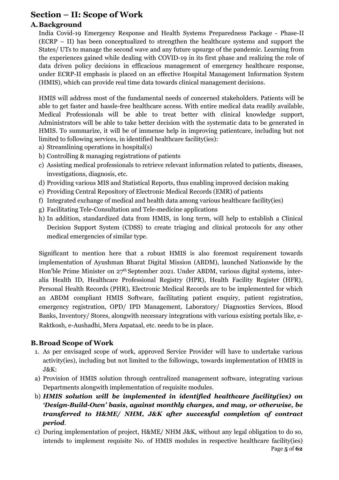### **Section – II: Scope of Work**

#### **A.Background**

India Covid-19 Emergency Response and Health Systems Preparedness Package - Phase-II (ECRP – II) has been conceptualized to strengthen the healthcare systems and support the States/ UTs to manage the second wave and any future upsurge of the pandemic. Learning from the experiences gained while dealing with COVID-19 in its first phase and realizing the role of data driven policy decisions in efficacious management of emergency healthcare response, under ECRP-II emphasis is placed on an effective Hospital Management Information System (HMIS), which can provide real time data towards clinical management decisions.

HMIS will address most of the fundamental needs of concerned stakeholders. Patients will be able to get faster and hassle-free healthcare access. With entire medical data readily available, Medical Professionals will be able to treat better with clinical knowledge support, Administrators will be able to take better decision with the systematic data to be generated in HMIS. To summarize, it will be of immense help in improving patientcare, including but not limited to following services, in identified healthcare facility(ies):

- a) Streamlining operations in hospital(s)
- b) Controlling & managing registrations of patients
- c) Assisting medical professionals to retrieve relevant information related to patients, diseases, investigations, diagnosis, etc.
- d) Providing various MIS and Statistical Reports, thus enabling improved decision making
- e) Providing Central Repository of Electronic Medical Records (EMR) of patients
- f) Integrated exchange of medical and health data among various healthcare facility(ies)
- g) Facilitating Tele-Consultation and Tele-medicine applications
- h) In addition, standardized data from HMIS, in long term, will help to establish a Clinical Decision Support System (CDSS) to create triaging and clinical protocols for any other medical emergencies of similar type.

Significant to mention here that a robust HMIS is also foremost requirement towards implementation of Ayushman Bharat Digital Mission (ABDM), launched Nationwide by the Hon'ble Prime Minister on 27<sup>th</sup> September 2021. Under ABDM, various digital systems, interalia Health ID, Healthcare Professional Registry (HPR), Health Facility Register (HFR), Personal Health Records (PHR), Electronic Medical Records are to be implemented for which an ABDM compliant HMIS Software, facilitating patient enquiry, patient registration, emergency registration, OPD/ IPD Management, Laboratory/ Diagnostics Services, Blood Banks, Inventory/ Stores, alongwith necessary integrations with various existing portals like, e-Raktkosh, e-Aushadhi, Mera Aspataal, etc. needs to be in place.

#### **B.Broad Scope of Work**

- 1. As per envisaged scope of work, approved Service Provider will have to undertake various activity(ies), including but not limited to the followings, towards implementation of HMIS in J&K:
- a) Provision of HMIS solution through centralized management software, integrating various Departments alongwith implementation of requisite modules.
- b) *HMIS solution will be implemented in identified healthcare facility(ies) on 'Design-Build-Own' basis, against monthly charges, and may, or otherwise, be transferred to H&ME/ NHM, J&K after successful completion of contract period*.
- Page **5** of **62** c) During implementation of project, H&ME/ NHM J&K, without any legal obligation to do so, intends to implement requisite No. of HMIS modules in respective healthcare facility(ies)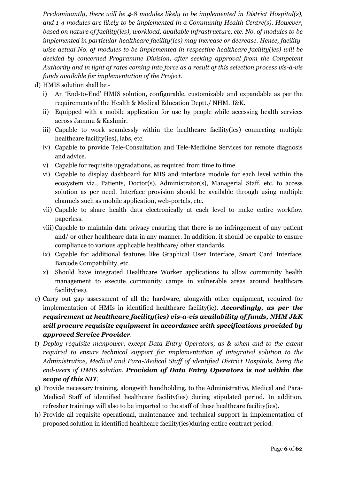*Predominantly, there will be 4-8 modules likely to be implemented in District Hospital(s), and 1-4 modules are likely to be implemented in a Community Health Centre(s). However, based on nature of facility(ies), workload, available infrastructure, etc. No. of modules to be implemented in particular healthcare facility(ies) may increase or decrease. Hence, facilitywise actual No. of modules to be implemented in respective healthcare facility(ies) will be decided by concerned Programme Division, after seeking approval from the Competent Authority and in light of rates coming into force as a result of this selection process vis-à-vis funds available for implementation of the Project*.

d) HMIS solution shall be -

- i) An 'End-to-End' HMIS solution, configurable, customizable and expandable as per the requirements of the Health & Medical Education Deptt./ NHM. J&K.
- ii) Equipped with a mobile application for use by people while accessing health services across Jammu & Kashmir.
- iii) Capable to work seamlessly within the healthcare facility(ies) connecting multiple healthcare facility(ies), labs, etc.
- iv) Capable to provide Tele-Consultation and Tele-Medicine Services for remote diagnosis and advice.
- v) Capable for requisite upgradations, as required from time to time.
- vi) Capable to display dashboard for MIS and interface module for each level within the ecosystem viz., Patients, Doctor(s), Administrator(s), Managerial Staff, etc. to access solution as per need. Interface provision should be available through using multiple channels such as mobile application, web-portals, etc.
- vii) Capable to share health data electronically at each level to make entire workflow paperless.
- viii) Capable to maintain data privacy ensuring that there is no infringement of any patient and/ or other healthcare data in any manner. In addition, it should be capable to ensure compliance to various applicable healthcare/ other standards.
- ix) Capable for additional features like Graphical User Interface, Smart Card Interface, Barcode Compatibility, etc.
- x) Should have integrated Healthcare Worker applications to allow community health management to execute community camps in vulnerable areas around healthcare facility(ies).
- e) Carry out gap assessment of all the hardware, alongwith other equipment, required for implementation of HMIs in identified healthcare facility(ie). *Accordingly, as per the requirement at healthcare facility(ies) vis-a-vis availability of funds, NHM J&K will procure requisite equipment in accordance with specifications provided by approved Service Provider*.
- f) *Deploy requisite manpower, except Data Entry Operators, as & when and to the extent required to ensure technical support for implementation of integrated solution to the Administrative, Medical and Para-Medical Staff of identified District Hospitals, being the end-users of HMIS solution*. *Provision of Data Entry Operators is not within the scope of this NIT*.
- g) Provide necessary training, alongwith handholding, to the Administrative, Medical and Para-Medical Staff of identified healthcare facility(ies) during stipulated period. In addition, refresher trainings will also to be imparted to the staff of these healthcare facility(ies).
- h) Provide all requisite operational, maintenance and technical support in implementation of proposed solution in identified healthcare facility(ies)during entire contract period.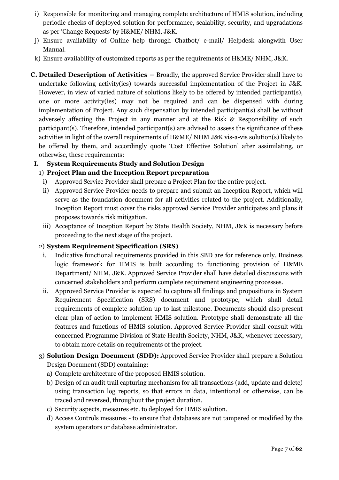- i) Responsible for monitoring and managing complete architecture of HMIS solution, including periodic checks of deployed solution for performance, scalability, security, and upgradations as per 'Change Requests' by H&ME/ NHM, J&K.
- j) Ensure availability of Online help through Chatbot/ e-mail/ Helpdesk alongwith User Manual.
- k) Ensure availability of customized reports as per the requirements of H&ME/ NHM, J&K.
- **C. Detailed Description of Activities –** Broadly, the approved Service Provider shall have to undertake following activity(ies) towards successful implementation of the Project in J&K. However, in view of varied nature of solutions likely to be offered by intended participant(s), one or more activity(ies) may not be required and can be dispensed with during implementation of Project. Any such dispensation by intended participant(s) shall be without adversely affecting the Project in any manner and at the Risk & Responsibility of such participant(s). Therefore, intended participant(s) are advised to assess the significance of these activities in light of the overall requirements of H&ME/ NHM J&K vis-a-vis solution(s) likely to be offered by them, and accordingly quote 'Cost Effective Solution' after assimilating, or otherwise, these requirements:

#### **I. System Requirements Study and Solution Design**

#### 1) **Project Plan and the Inception Report preparation**

- i) Approved Service Provider shall prepare a Project Plan for the entire project.
- ii) Approved Service Provider needs to prepare and submit an Inception Report, which will serve as the foundation document for all activities related to the project. Additionally, Inception Report must cover the risks approved Service Provider anticipates and plans it proposes towards risk mitigation.
- iii) Acceptance of Inception Report by State Health Society, NHM, J&K is necessary before proceeding to the next stage of the project.

#### 2) **System Requirement Specification (SRS)**

- i. Indicative functional requirements provided in this SBD are for reference only. Business logic framework for HMIS is built according to functioning provision of H&ME Department/ NHM, J&K. Approved Service Provider shall have detailed discussions with concerned stakeholders and perform complete requirement engineering processes.
- ii. Approved Service Provider is expected to capture all findings and propositions in System Requirement Specification (SRS) document and prototype, which shall detail requirements of complete solution up to last milestone. Documents should also present clear plan of action to implement HMIS solution. Prototype shall demonstrate all the features and functions of HMIS solution. Approved Service Provider shall consult with concerned Programme Division of State Health Society, NHM, J&K, whenever necessary, to obtain more details on requirements of the project.

#### 3) **Solution Design Document (SDD):** Approved Service Provider shall prepare a Solution Design Document (SDD) containing:

- a) Complete architecture of the proposed HMIS solution.
- b) Design of an audit trail capturing mechanism for all transactions (add, update and delete) using transaction log reports, so that errors in data, intentional or otherwise, can be traced and reversed, throughout the project duration.
- c) Security aspects, measures etc. to deployed for HMIS solution.
- d) Access Controls measures to ensure that databases are not tampered or modified by the system operators or database administrator.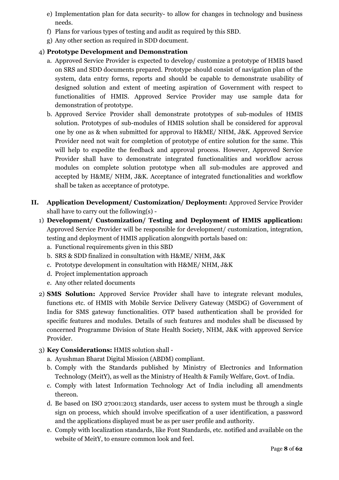- e) Implementation plan for data security- to allow for changes in technology and business needs.
- f) Plans for various types of testing and audit as required by this SBD.
- g) Any other section as required in SDD document.

#### 4) **Prototype Development and Demonstration**

- a. Approved Service Provider is expected to develop/ customize a prototype of HMIS based on SRS and SDD documents prepared. Prototype should consist of navigation plan of the system, data entry forms, reports and should be capable to demonstrate usability of designed solution and extent of meeting aspiration of Government with respect to functionalities of HMIS. Approved Service Provider may use sample data for demonstration of prototype.
- b. Approved Service Provider shall demonstrate prototypes of sub-modules of HMIS solution. Prototypes of sub-modules of HMIS solution shall be considered for approval one by one as & when submitted for approval to H&ME/ NHM, J&K. Approved Service Provider need not wait for completion of prototype of entire solution for the same. This will help to expedite the feedback and approval process. However, Approved Service Provider shall have to demonstrate integrated functionalities and workflow across modules on complete solution prototype when all sub-modules are approved and accepted by H&ME/ NHM, J&K. Acceptance of integrated functionalities and workflow shall be taken as acceptance of prototype.
- **II. Application Development/ Customization/ Deployment:** Approved Service Provider shall have to carry out the following(s) -
	- 1) **Development/ Customization/ Testing and Deployment of HMIS application:**  Approved Service Provider will be responsible for development/ customization, integration, testing and deployment of HMIS application alongwith portals based on:
		- a. Functional requirements given in this SBD
		- b. SRS & SDD finalized in consultation with H&ME/ NHM, J&K
		- c. Prototype development in consultation with H&ME/ NHM, J&K
		- d. Project implementation approach
		- e. Any other related documents
	- 2) **SMS Solution:** Approved Service Provider shall have to integrate relevant modules, functions etc. of HMIS with Mobile Service Delivery Gateway (MSDG) of Government of India for SMS gateway functionalities. OTP based authentication shall be provided for specific features and modules. Details of such features and modules shall be discussed by concerned Programme Division of State Health Society, NHM, J&K with approved Service Provider.
	- 3) **Key Considerations:** HMIS solution shall
		- a. Ayushman Bharat Digital Mission (ABDM) compliant.
		- b. Comply with the Standards published by Ministry of Electronics and Information Technology (MeitY), as well as the Ministry of Health & Family Welfare, Govt. of India.
		- c. Comply with latest Information Technology Act of India including all amendments thereon.
		- d. Be based on ISO 27001:2013 standards, user access to system must be through a single sign on process, which should involve specification of a user identification, a password and the applications displayed must be as per user profile and authority.
		- e. Comply with localization standards, like Font Standards, etc. notified and available on the website of MeitY, to ensure common look and feel.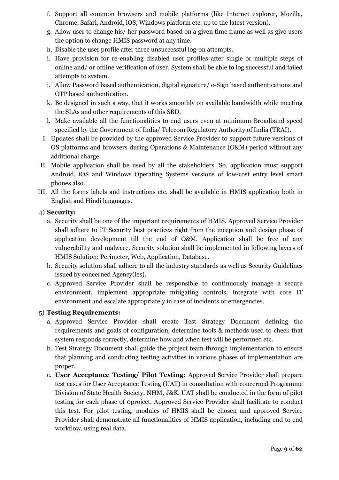- f. Support all common browsers and mobile platforms (like Internet explorer, Mozilla, Chrome, Safari, Android, iOS, Windows platform etc. up to the latest version).
- g. Allow user to change his/ her password based on a given time frame as well as give users the option to change HMIS password at any time.
- h. Disable the user profile after three unsuccessful log-on attempts.
- i. Have provision for re-enabling disabled user profiles after single or multiple steps of online and/ or offline verification of user. System shall be able to log successful and failed attempts to system.
- j. Allow Password based authentication, digital signature/ e-Sign based authentications and OTP based authentication.
- k. Be designed in such a way, that it works smoothly on available bandwidth while meeting the SLAs and other requirements of this SBD.
- l. Make available all the functionalities to end users even at minimum Broadband speed specified by the Government of India/ Telecom Regulatory Authority of India (TRAI).
- I. Updates shall be provided by the approved Service Provider to support future versions of OS platforms and browsers during Operations & Maintenance (O&M) period without any additional charge.
- II. Mobile application shall be used by all the stakeholders. So, application must support Android, iOS and Windows Operating Systems versions of low-cost entry level smart phones also.
- III. All the forms labels and instructions etc. shall be available in HMIS application both in English and Hindi languages.

#### 4) **Security:**

- a. Security shall be one of the important requirements of HMIS. Approved Service Provider shall adhere to IT Security best practices right from the inception and design phase of application development till the end of O&M. Application shall be free of any vulnerability and malware. Security solution shall be implemented in following layers of HMIS Solution: Perimeter, Web, Application, Database.
- b. Security solution shall adhere to all the industry standards as well as Security Guidelines issued by concerned Agency(ies).
- c. Approved Service Provider shall be responsible to continuously manage a secure environment, implement appropriate mitigating controls, integrate with core IT environment and escalate appropriately in case of incidents or emergencies.

#### 5) **Testing Requirements:**

- a. Approved Service Provider shall create Test Strategy Document defining the requirements and goals of configuration, determine tools & methods used to check that system responds correctly, determine how and when test will be performed etc.
- b. Test Strategy Document shall guide the project team through implementation to ensure that planning and conducting testing activities in various phases of implementation are proper.
- c. **User Acceptance Testing/ Pilot Testing:** Approved Service Provider shall prepare test cases for User Acceptance Testing (UAT) in consultation with concerned Programme Division of State Health Society, NHM, J&K. UAT shall be conducted in the form of pilot testing for each phase of 0project. Approved Service Provider shall facilitate to conduct this test. For pilot testing, modules of HMIS shall be chosen and approved Service Provider shall demonstrate all functionalities of HMIS application, including end to end workflow, using real data.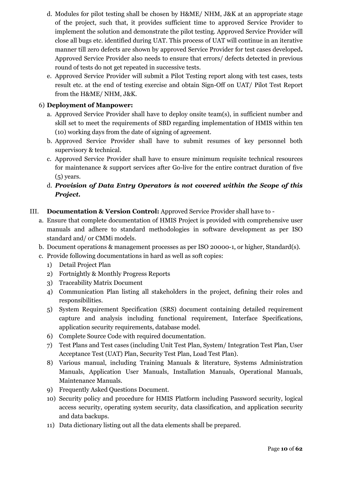- d. Modules for pilot testing shall be chosen by H&ME/ NHM, J&K at an appropriate stage of the project, such that, it provides sufficient time to approved Service Provider to implement the solution and demonstrate the pilot testing. Approved Service Provider will close all bugs etc. identified during UAT. This process of UAT will continue in an iterative manner till zero defects are shown by approved Service Provider for test cases developed**.**  Approved Service Provider also needs to ensure that errors/ defects detected in previous round of tests do not get repeated in successive tests.
- e. Approved Service Provider will submit a Pilot Testing report along with test cases, tests result etc. at the end of testing exercise and obtain Sign-Off on UAT/ Pilot Test Report from the H&ME/ NHM, J&K.

#### 6) **Deployment of Manpower:**

- a. Approved Service Provider shall have to deploy onsite team(s), in sufficient number and skill set to meet the requirements of SBD regarding implementation of HMIS within ten (10) working days from the date of signing of agreement.
- b. Approved Service Provider shall have to submit resumes of key personnel both supervisory & technical.
- c. Approved Service Provider shall have to ensure minimum requisite technical resources for maintenance & support services after Go-live for the entire contract duration of five (5) years.
- d. *Provision of Data Entry Operators is not covered within the Scope of this Project.*

#### III. **Documentation & Version Control:** Approved Service Provider shall have to -

- a. Ensure that complete documentation of HMIS Project is provided with comprehensive user manuals and adhere to standard methodologies in software development as per ISO standard and/ or CMMi models.
- b. Document operations & management processes as per ISO 20000-1, or higher, Standard(s).
- c. Provide following documentations in hard as well as soft copies:
	- 1) Detail Project Plan
	- 2) Fortnightly & Monthly Progress Reports
	- 3) Traceability Matrix Document
	- 4) Communication Plan listing all stakeholders in the project, defining their roles and responsibilities.
	- 5) System Requirement Specification (SRS) document containing detailed requirement capture and analysis including functional requirement, Interface Specifications, application security requirements, database model.
	- 6) Complete Source Code with required documentation.
	- 7) Test Plans and Test cases (including Unit Test Plan, System/ Integration Test Plan, User Acceptance Test (UAT) Plan, Security Test Plan, Load Test Plan).
	- 8) Various manual, including Training Manuals & literature, Systems Administration Manuals, Application User Manuals, Installation Manuals, Operational Manuals, Maintenance Manuals.
	- 9) Frequently Asked Questions Document.
	- 10) Security policy and procedure for HMIS Platform including Password security, logical access security, operating system security, data classification, and application security and data backups.
	- 11) Data dictionary listing out all the data elements shall be prepared.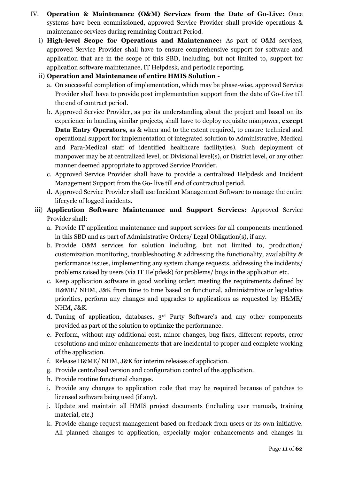- IV. **Operation & Maintenance (O&M) Services from the Date of Go-Live:** Once systems have been commissioned, approved Service Provider shall provide operations & maintenance services during remaining Contract Period.
	- i) **High-level Scope for Operations and Maintenance:** As part of O&M services, approved Service Provider shall have to ensure comprehensive support for software and application that are in the scope of this SBD, including, but not limited to, support for application software maintenance, IT Helpdesk, and periodic reporting.
	- ii) **Operation and Maintenance of entire HMIS Solution** 
		- a. On successful completion of implementation, which may be phase-wise, approved Service Provider shall have to provide post implementation support from the date of Go-Live till the end of contract period.
		- b. Approved Service Provider, as per its understanding about the project and based on its experience in handing similar projects, shall have to deploy requisite manpower, **except Data Entry Operators**, as & when and to the extent required, to ensure technical and operational support for implementation of integrated solution to Administrative, Medical and Para-Medical staff of identified healthcare facility(ies). Such deployment of manpower may be at centralized level, or Divisional level(s), or District level, or any other manner deemed appropriate to approved Service Provider.
		- c. Approved Service Provider shall have to provide a centralized Helpdesk and Incident Management Support from the Go- live till end of contractual period.
		- d. Approved Service Provider shall use Incident Management Software to manage the entire lifecycle of logged incidents.
	- iii) **Application Software Maintenance and Support Services:** Approved Service Provider shall:
		- a. Provide IT application maintenance and support services for all components mentioned in this SBD and as part of Administrative Orders/ Legal Obligation(s), if any.
		- b. Provide O&M services for solution including, but not limited to, production/ customization monitoring, troubleshooting & addressing the functionality, availability & performance issues, implementing any system change requests, addressing the incidents/ problems raised by users (via IT Helpdesk) for problems/ bugs in the application etc.
		- c. Keep application software in good working order; meeting the requirements defined by H&ME/ NHM, J&K from time to time based on functional, administrative or legislative priorities, perform any changes and upgrades to applications as requested by H&ME/ NHM, J&K.
		- d. Tuning of application, databases, 3rd Party Software's and any other components provided as part of the solution to optimize the performance.
		- e. Perform, without any additional cost, minor changes, bug fixes, different reports, error resolutions and minor enhancements that are incidental to proper and complete working of the application.
		- f. Release H&ME/ NHM, J&K for interim releases of application.
		- g. Provide centralized version and configuration control of the application.
		- h. Provide routine functional changes.
		- i. Provide any changes to application code that may be required because of patches to licensed software being used (if any).
		- j. Update and maintain all HMIS project documents (including user manuals, training material, etc.)
		- k. Provide change request management based on feedback from users or its own initiative. All planned changes to application, especially major enhancements and changes in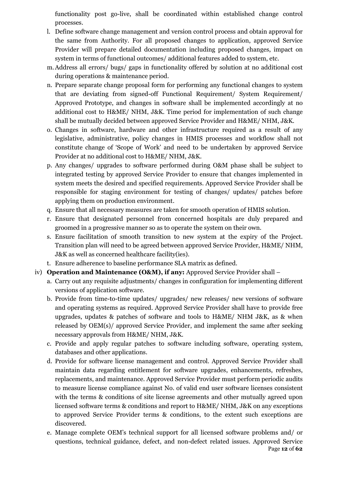functionality post go-live, shall be coordinated within established change control processes.

- l. Define software change management and version control process and obtain approval for the same from Authority. For all proposed changes to application, approved Service Provider will prepare detailed documentation including proposed changes, impact on system in terms of functional outcomes/ additional features added to system, etc.
- m.Address all errors/ bugs/ gaps in functionality offered by solution at no additional cost during operations & maintenance period.
- n. Prepare separate change proposal form for performing any functional changes to system that are deviating from signed-off Functional Requirement/ System Requirement/ Approved Prototype, and changes in software shall be implemented accordingly at no additional cost to H&ME/ NHM, J&K. Time period for implementation of such change shall be mutually decided between approved Service Provider and H&ME/ NHM, J&K.
- o. Changes in software, hardware and other infrastructure required as a result of any legislative, administrative, policy changes in HMIS processes and workflow shall not constitute change of 'Scope of Work' and need to be undertaken by approved Service Provider at no additional cost to H&ME/ NHM, J&K.
- p. Any changes/ upgrades to software performed during O&M phase shall be subject to integrated testing by approved Service Provider to ensure that changes implemented in system meets the desired and specified requirements. Approved Service Provider shall be responsible for staging environment for testing of changes/ updates/ patches before applying them on production environment.
- q. Ensure that all necessary measures are taken for smooth operation of HMIS solution.
- r. Ensure that designated personnel from concerned hospitals are duly prepared and groomed in a progressive manner so as to operate the system on their own.
- s. Ensure facilitation of smooth transition to new system at the expiry of the Project. Transition plan will need to be agreed between approved Service Provider, H&ME/ NHM, J&K as well as concerned healthcare facility(ies).
- t. Ensure adherence to baseline performance SLA matrix as defined.
- iv) **Operation and Maintenance (O&M), if any:** Approved Service Provider shall
	- a. Carry out any requisite adjustments/ changes in configuration for implementing different versions of application software.
	- b. Provide from time-to-time updates/ upgrades/ new releases/ new versions of software and operating systems as required. Approved Service Provider shall have to provide free upgrades, updates & patches of software and tools to H&ME/ NHM J&K, as & when released by OEM(s)/ approved Service Provider, and implement the same after seeking necessary approvals from H&ME/ NHM, J&K.
	- c. Provide and apply regular patches to software including software, operating system, databases and other applications.
	- d. Provide for software license management and control. Approved Service Provider shall maintain data regarding entitlement for software upgrades, enhancements, refreshes, replacements, and maintenance. Approved Service Provider must perform periodic audits to measure license compliance against No. of valid end user software licenses consistent with the terms & conditions of site license agreements and other mutually agreed upon licensed software terms & conditions and report to H&ME/ NHM, J&K on any exceptions to approved Service Provider terms & conditions, to the extent such exceptions are discovered.
	- Page **12** of **62** e. Manage complete OEM's technical support for all licensed software problems and/ or questions, technical guidance, defect, and non-defect related issues. Approved Service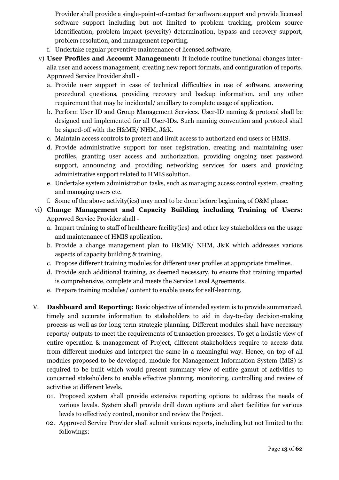Provider shall provide a single-point-of-contact for software support and provide licensed software support including but not limited to problem tracking, problem source identification, problem impact (severity) determination, bypass and recovery support, problem resolution, and management reporting.

- f. Undertake regular preventive maintenance of licensed software.
- v) **User Profiles and Account Management:** It include routine functional changes interalia user and access management, creating new report formats, and configuration of reports. Approved Service Provider shall
	- a. Provide user support in case of technical difficulties in use of software, answering procedural questions, providing recovery and backup information, and any other requirement that may be incidental/ ancillary to complete usage of application.
	- b. Perform User ID and Group Management Services. User-ID naming & protocol shall be designed and implemented for all User-IDs. Such naming convention and protocol shall be signed-off with the H&ME/ NHM, J&K.
	- c. Maintain access controls to protect and limit access to authorized end users of HMIS.
	- d. Provide administrative support for user registration, creating and maintaining user profiles, granting user access and authorization, providing ongoing user password support, announcing and providing networking services for users and providing administrative support related to HMIS solution.
	- e. Undertake system administration tasks, such as managing access control system, creating and managing users etc.
	- f. Some of the above activity(ies) may need to be done before beginning of O&M phase.
- vi) **Change Management and Capacity Building including Training of Users:**  Approved Service Provider shall
	- a. Impart training to staff of healthcare facility(ies) and other key stakeholders on the usage and maintenance of HMIS application.
	- b. Provide a change management plan to H&ME/ NHM, J&K which addresses various aspects of capacity building & training.
	- c. Propose different training modules for different user profiles at appropriate timelines.
	- d. Provide such additional training, as deemed necessary, to ensure that training imparted is comprehensive, complete and meets the Service Level Agreements.
	- e. Prepare training modules/ content to enable users for self-learning.
- V. **Dashboard and Reporting:** Basic objective of intended system is to provide summarized, timely and accurate information to stakeholders to aid in day-to-day decision-making process as well as for long term strategic planning. Different modules shall have necessary reports/ outputs to meet the requirements of transaction processes. To get a holistic view of entire operation & management of Project, different stakeholders require to access data from different modules and interpret the same in a meaningful way. Hence, on top of all modules proposed to be developed, module for Management Information System (MIS) is required to be built which would present summary view of entire gamut of activities to concerned stakeholders to enable effective planning, monitoring, controlling and review of activities at different levels.
	- 01. Proposed system shall provide extensive reporting options to address the needs of various levels. System shall provide drill down options and alert facilities for various levels to effectively control, monitor and review the Project.
	- 02. Approved Service Provider shall submit various reports, including but not limited to the followings: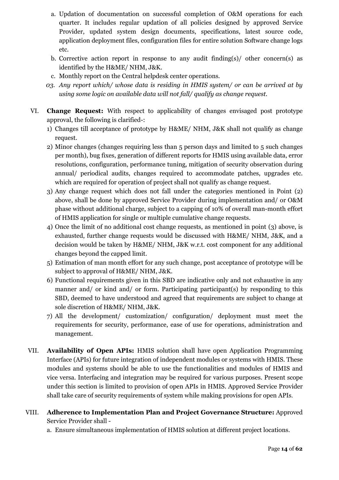- a. Updation of documentation on successful completion of O&M operations for each quarter. It includes regular updation of all policies designed by approved Service Provider, updated system design documents, specifications, latest source code, application deployment files, configuration files for entire solution Software change logs etc.
- b. Corrective action report in response to any audit finding(s)/ other concern(s) as identified by the H&ME/ NHM, J&K.
- c. Monthly report on the Central helpdesk center operations.
- *03. Any report which/ whose data is residing in HMIS system/ or can be arrived at by using some logic on available data will not fall/ qualify as change request.*
- VI. **Change Request:** With respect to applicability of changes envisaged post prototype approval, the following is clarified-:
	- 1) Changes till acceptance of prototype by H&ME/ NHM, J&K shall not qualify as change request.
	- 2) Minor changes (changes requiring less than 5 person days and limited to 5 such changes per month), bug fixes, generation of different reports for HMIS using available data, error resolutions, configuration, performance tuning, mitigation of security observation during annual/ periodical audits, changes required to accommodate patches, upgrades etc. which are required for operation of project shall not qualify as change request.
	- 3) Any change request which does not fall under the categories mentioned in Point (2) above, shall be done by approved Service Provider during implementation and/ or O&M phase without additional charge, subject to a capping of 10% of overall man-month effort of HMIS application for single or multiple cumulative change requests.
	- 4) Once the limit of no additional cost change requests, as mentioned in point (3) above, is exhausted, further change requests would be discussed with H&ME/ NHM, J&K, and a decision would be taken by H&ME/ NHM, J&K w.r.t. cost component for any additional changes beyond the capped limit.
	- 5) Estimation of man month effort for any such change, post acceptance of prototype will be subject to approval of H&ME/ NHM, J&K.
	- 6) Functional requirements given in this SBD are indicative only and not exhaustive in any manner and/ or kind and/ or form. Participating participant(s) by responding to this SBD, deemed to have understood and agreed that requirements are subject to change at sole discretion of H&ME/ NHM, J&K.
	- 7) All the development/ customization/ configuration/ deployment must meet the requirements for security, performance, ease of use for operations, administration and management.
- VII. **Availability of Open APIs:** HMIS solution shall have open Application Programming Interface (APIs) for future integration of independent modules or systems with HMIS. These modules and systems should be able to use the functionalities and modules of HMIS and vice versa. Interfacing and integration may be required for various purposes. Present scope under this section is limited to provision of open APIs in HMIS. Approved Service Provider shall take care of security requirements of system while making provisions for open APIs.
- VIII. **Adherence to Implementation Plan and Project Governance Structure:** Approved Service Provider shall
	- a. Ensure simultaneous implementation of HMIS solution at different project locations.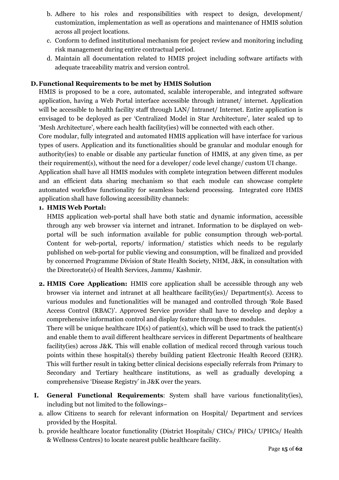- b. Adhere to his roles and responsibilities with respect to design, development/ customization, implementation as well as operations and maintenance of HMIS solution across all project locations.
- c. Conform to defined institutional mechanism for project review and monitoring including risk management during entire contractual period.
- d. Maintain all documentation related to HMIS project including software artifacts with adequate traceability matrix and version control.

#### **D.Functional Requirements to be met by HMIS Solution**

HMIS is proposed to be a core, automated, scalable interoperable, and integrated software application, having a Web Portal interface accessible through intranet/ internet. Application will be accessible to health facility staff through LAN/ Intranet/ Internet. Entire application is envisaged to be deployed as per 'Centralized Model in Star Architecture', later scaled up to 'Mesh Architecture', where each health facility(ies) will be connected with each other.

Core modular, fully integrated and automated HMIS application will have interface for various types of users. Application and its functionalities should be granular and modular enough for authority(ies) to enable or disable any particular function of HMIS, at any given time, as per their requirement(s), without the need for a developer/ code level change/ custom UI change.

Application shall have all HMIS modules with complete integration between different modules and an efficient data sharing mechanism so that each module can showcase complete automated workflow functionality for seamless backend processing. Integrated core HMIS application shall have following accessibility channels:

#### **1. HMIS Web Portal:**

HMIS application web-portal shall have both static and dynamic information, accessible through any web browser via internet and intranet. Information to be displayed on webportal will be such information available for public consumption through web-portal. Content for web-portal, reports/ information/ statistics which needs to be regularly published on web-portal for public viewing and consumption, will be finalized and provided by concerned Programme Division of State Health Society, NHM, J&K, in consultation with the Directorate(s) of Health Services, Jammu/ Kashmir.

**2. HMIS Core Application:** HMIS core application shall be accessible through any web browser via internet and intranet at all healthcare facility(ies)/ Department(s). Access to various modules and functionalities will be managed and controlled through 'Role Based Access Control (RBAC)'. Approved Service provider shall have to develop and deploy a comprehensive information control and display feature through these modules.

There will be unique healthcare ID(s) of patient(s), which will be used to track the patient(s) and enable them to avail different healthcare services in different Departments of healthcare facility(ies) across J&K. This will enable collation of medical record through various touch points within these hospital(s) thereby building patient Electronic Health Record (EHR). This will further result in taking better clinical decisions especially referrals from Primary to Secondary and Tertiary healthcare institutions, as well as gradually developing a comprehensive 'Disease Registry' in J&K over the years.

- **I. General Functional Requirements**: System shall have various functionality(ies), including but not limited to the followings–
	- a. allow Citizens to search for relevant information on Hospital/ Department and services provided by the Hospital.
	- b. provide healthcare locator functionality (District Hospitals/ CHCs/ PHCs/ UPHCs/ Health & Wellness Centres) to locate nearest public healthcare facility.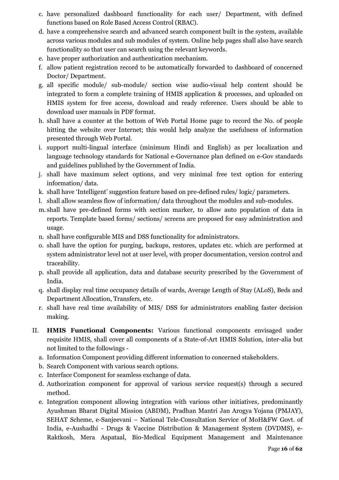- c. have personalized dashboard functionality for each user/ Department, with defined functions based on Role Based Access Control (RBAC).
- d. have a comprehensive search and advanced search component built in the system, available across various modules and sub modules of system. Online help pages shall also have search functionality so that user can search using the relevant keywords.
- e. have proper authorization and authentication mechanism.
- f. allow patient registration record to be automatically forwarded to dashboard of concerned Doctor/ Department.
- g. all specific module/ sub-module/ section wise audio-visual help content should be integrated to form a complete training of HMIS application & processes, and uploaded on HMIS system for free access, download and ready reference. Users should be able to download user manuals in PDF format.
- h. shall have a counter at the bottom of Web Portal Home page to record the No. of people hitting the website over Internet; this would help analyze the usefulness of information presented through Web Portal.
- i. support multi-lingual interface (minimum Hindi and English) as per localization and language technology standards for National e-Governance plan defined on e-Gov standards and guidelines published by the Government of India.
- j. shall have maximum select options, and very minimal free text option for entering information/ data.
- k. shall have 'Intelligent' suggestion feature based on pre-defined rules/ logic/ parameters.
- l. shall allow seamless flow of information/ data throughout the modules and sub-modules.
- m. shall have pre-defined forms with section marker, to allow auto population of data in reports. Template based forms/ sections/ screens are proposed for easy administration and usage.
- n. shall have configurable MIS and DSS functionality for administrators.
- o. shall have the option for purging, backups, restores, updates etc. which are performed at system administrator level not at user level, with proper documentation, version control and traceability.
- p. shall provide all application, data and database security prescribed by the Government of India.
- q. shall display real time occupancy details of wards, Average Length of Stay (ALoS), Beds and Department Allocation, Transfers, etc.
- r. shall have real time availability of MIS/ DSS for administrators enabling faster decision making.
- II. **HMIS Functional Components:** Various functional components envisaged under requisite HMIS, shall cover all components of a State-of-Art HMIS Solution, inter-alia but not limited to the followings
	- a. Information Component providing different information to concerned stakeholders.
	- b. Search Component with various search options.
	- c. Interface Component for seamless exchange of data.
	- d. Authorization component for approval of various service request(s) through a secured method.
	- e. Integration component allowing integration with various other initiatives, predominantly Ayushman Bharat Digital Mission (ABDM), Pradhan Mantri Jan Arogya Yojana (PMJAY), SEHAT Scheme, e-Sanjeevani – National Tele-Consultation Service of MoH&FW Govt. of India, e-Aushadhi - Drugs & Vaccine Distribution & Management System (DVDMS), e-Raktkosh, Mera Aspataal, Bio-Medical Equipment Management and Maintenance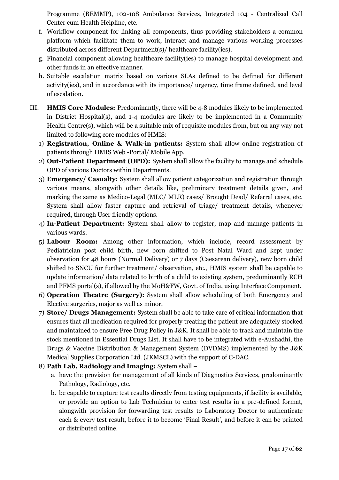Programme (BEMMP), 102-108 Ambulance Services, Integrated 104 - Centralized Call Center cum Health Helpline, etc.

- f. Workflow component for linking all components, thus providing stakeholders a common platform which facilitate them to work, interact and manage various working processes distributed across different Department(s)/ healthcare facility(ies).
- g. Financial component allowing healthcare facility(ies) to manage hospital development and other funds in an effective manner.
- h. Suitable escalation matrix based on various SLAs defined to be defined for different activity(ies), and in accordance with its importance/ urgency, time frame defined, and level of escalation.
- III. **HMIS Core Modules:** Predominantly, there will be 4-8 modules likely to be implemented in District Hospital(s), and 1-4 modules are likely to be implemented in a Community Health Centre(s), which will be a suitable mix of requisite modules from, but on any way not limited to following core modules of HMIS:
	- 1) **Registration, Online & Walk-in patients:** System shall allow online registration of patients through HMIS Web -Portal/ Mobile App.
	- 2) **Out-Patient Department (OPD):** System shall allow the facility to manage and schedule OPD of various Doctors within Departments.
	- 3) **Emergency/ Casualty:** System shall allow patient categorization and registration through various means, alongwith other details like, preliminary treatment details given, and marking the same as Medico-Legal (MLC/ MLR) cases/ Brought Dead/ Referral cases, etc. System shall allow faster capture and retrieval of triage/ treatment details, whenever required, through User friendly options.
	- 4) **In-Patient Department:** System shall allow to register, map and manage patients in various wards.
	- 5) **Labour Room:** Among other information, which include, record assessment by Pediatrician post child birth, new born shifted to Post Natal Ward and kept under observation for 48 hours (Normal Delivery) or 7 days (Caesarean delivery), new born child shifted to SNCU for further treatment/ observation, etc., HMIS system shall be capable to update information/ data related to birth of a child to existing system, predominantly RCH and PFMS portal(s), if allowed by the MoH&FW, Govt. of India, using Interface Component.
	- 6) **Operation Theatre (Surgery):** System shall allow scheduling of both Emergency and Elective surgeries, major as well as minor.
	- 7) **Store/ Drugs Management:** System shall be able to take care of critical information that ensures that all medication required for properly treating the patient are adequately stocked and maintained to ensure Free Drug Policy in J&K. It shall be able to track and maintain the stock mentioned in Essential Drugs List. It shall have to be integrated with e-Aushadhi, the Drugs & Vaccine Distribution & Management System (DVDMS) implemented by the J&K Medical Supplies Corporation Ltd. (JKMSCL) with the support of C-DAC.
	- 8) **Path Lab, Radiology and Imaging:** System shall
		- a. have the provision for management of all kinds of Diagnostics Services, predominantly Pathology, Radiology, etc.
		- b. be capable to capture test results directly from testing equipments, if facility is available, or provide an option to Lab Technician to enter test results in a pre-defined format, alongwith provision for forwarding test results to Laboratory Doctor to authenticate each & every test result, before it to become 'Final Result', and before it can be printed or distributed online.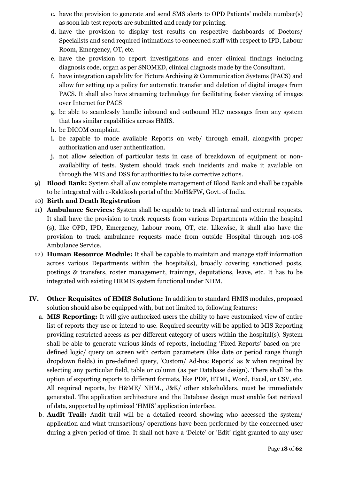- c. have the provision to generate and send SMS alerts to OPD Patients' mobile number(s) as soon lab test reports are submitted and ready for printing.
- d. have the provision to display test results on respective dashboards of Doctors/ Specialists and send required intimations to concerned staff with respect to IPD, Labour Room, Emergency, OT, etc.
- e. have the provision to report investigations and enter clinical findings including diagnosis code, organ as per SNOMED, clinical diagnosis made by the Consultant.
- f. have integration capability for Picture Archiving & Communication Systems (PACS) and allow for setting up a policy for automatic transfer and deletion of digital images from PACS. It shall also have streaming technology for facilitating faster viewing of images over Internet for PACS
- g. be able to seamlessly handle inbound and outbound HL7 messages from any system that has similar capabilities across HMIS.
- h. be DICOM complaint.
- i. be capable to made available Reports on web/ through email, alongwith proper authorization and user authentication.
- j. not allow selection of particular tests in case of breakdown of equipment or nonavailability of tests. System should track such incidents and make it available on through the MIS and DSS for authorities to take corrective actions.
- 9) **Blood Bank:** System shall allow complete management of Blood Bank and shall be capable to be integrated with e-Raktkosh portal of the MoH&FW, Govt. of India.
- 10) **Birth and Death Registration**
- 11) **Ambulance Services:** System shall be capable to track all internal and external requests. It shall have the provision to track requests from various Departments within the hospital (s), like OPD, IPD, Emergency, Labour room, OT, etc. Likewise, it shall also have the provision to track ambulance requests made from outside Hospital through 102-108 Ambulance Service.
- 12) **Human Resource Module:** It shall be capable to maintain and manage staff information across various Departments within the hospital(s), broadly covering sanctioned posts, postings & transfers, roster management, trainings, deputations, leave, etc. It has to be integrated with existing HRMIS system functional under NHM.
- **IV. Other Requisites of HMIS Solution:** In addition to standard HMIS modules, proposed solution should also be equipped with, but not limited to, following features:
	- a. **MIS Reporting:** It will give authorized users the ability to have customized view of entire list of reports they use or intend to use. Required security will be applied to MIS Reporting providing restricted access as per different category of users within the hospital(s). System shall be able to generate various kinds of reports, including 'Fixed Reports' based on predefined logic/ query on screen with certain parameters (like date or period range though dropdown fields) in pre-defined query, 'Custom/ Ad-hoc Reports' as & when required by selecting any particular field, table or column (as per Database design). There shall be the option of exporting reports to different formats, like PDF, HTML, Word, Excel, or CSV, etc. All required reports, by H&ME/ NHM., J&K/ other stakeholders, must be immediately generated. The application architecture and the Database design must enable fast retrieval of data, supported by optimized 'HMIS' application interface.
	- b. **Audit Trail:** Audit trail will be a detailed record showing who accessed the system/ application and what transactions/ operations have been performed by the concerned user during a given period of time. It shall not have a 'Delete' or 'Edit' right granted to any user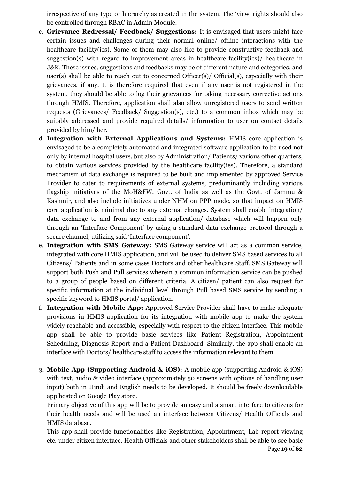irrespective of any type or hierarchy as created in the system. The 'view' rights should also be controlled through RBAC in Admin Module.

- c. **Grievance Redressal/ Feedback/ Suggestions:** It is envisaged that users might face certain issues and challenges during their normal online/ offline interactions with the healthcare facility(ies). Some of them may also like to provide constructive feedback and suggestion(s) with regard to improvement areas in healthcare facility(ies)/ healthcare in J&K. These issues, suggestions and feedbacks may be of different nature and categories, and user(s) shall be able to reach out to concerned Officer(s)/ Official(s), especially with their grievances, if any. It is therefore required that even if any user is not registered in the system, they should be able to log their grievances for taking necessary corrective actions through HMIS. Therefore, application shall also allow unregistered users to send written requests (Grievances/ Feedback/ Suggestion(s), etc.) to a common inbox which may be suitably addressed and provide required details/ information to user on contact details provided by him/ her.
- d. **Integration with External Applications and Systems:** HMIS core application is envisaged to be a completely automated and integrated software application to be used not only by internal hospital users, but also by Administration/ Patients/ various other quarters, to obtain various services provided by the healthcare facility(ies). Therefore, a standard mechanism of data exchange is required to be built and implemented by approved Service Provider to cater to requirements of external systems, predominantly including various flagship initiatives of the MoH&FW, Govt. of India as well as the Govt. of Jammu & Kashmir, and also include initiatives under NHM on PPP mode, so that impact on HMIS core application is minimal due to any external changes. System shall enable integration/ data exchange to and from any external application/ database which will happen only through an 'Interface Component' by using a standard data exchange protocol through a secure channel, utilizing said 'Interface component'.
- e. **Integration with SMS Gateway:** SMS Gateway service will act as a common service, integrated with core HMIS application, and will be used to deliver SMS based services to all Citizens/ Patients and in some cases Doctors and other healthcare Staff. SMS Gateway will support both Push and Pull services wherein a common information service can be pushed to a group of people based on different criteria. A citizen/ patient can also request for specific information at the individual level through Pull based SMS service by sending a specific keyword to HMIS portal/ application.
- f. **Integration with Mobile App:** Approved Service Provider shall have to make adequate provisions in HMIS application for its integration with mobile app to make the system widely reachable and accessible, especially with respect to the citizen interface. This mobile app shall be able to provide basic services like Patient Registration, Appointment Scheduling, Diagnosis Report and a Patient Dashboard. Similarly, the app shall enable an interface with Doctors/ healthcare staff to access the information relevant to them.
- 3. **Mobile App (Supporting Android & iOS):** A mobile app (supporting Android & iOS) with text, audio & video interface (approximately 50 screens with options of handling user input) both in Hindi and English needs to be developed. It should be freely downloadable app hosted on Google Play store.

Primary objective of this app will be to provide an easy and a smart interface to citizens for their health needs and will be used an interface between Citizens/ Health Officials and HMIS database.

Page **19** of **62** This app shall provide functionalities like Registration, Appointment, Lab report viewing etc. under citizen interface. Health Officials and other stakeholders shall be able to see basic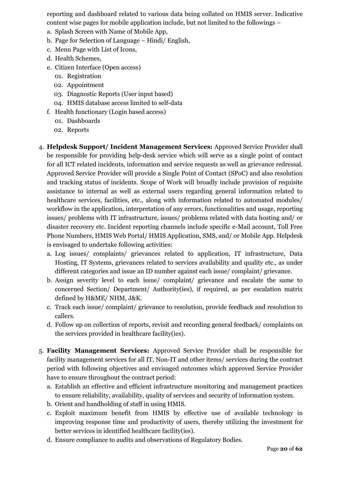reporting and dashboard related to various data being collated on HMIS server. Indicative content wise pages for mobile application include, but not limited to the followings –

- a. Splash Screen with Name of Mobile App,
- b. Page for Selection of Language Hindi/ English,
- c. Menu Page with List of Icons,
- d. Health Schemes,
- e. Citizen Interface (Open access)
	- 01. Registration
	- 02. Appointment
	- 03. Diagnostic Reports (User input based)
	- 04. HMIS database access limited to self-data
- f. Health functionary (Login based access)
	- 01. Dashboards
	- 02. Reports
- 4. **Helpdesk Support/ Incident Management Services:** Approved Service Provider shall be responsible for providing help-desk service which will serve as a single point of contact for all ICT related incidents, information and service requests as well as grievance redressal. Approved Service Provider will provide a Single Point of Contact (SPoC) and also resolution and tracking status of incidents. Scope of Work will broadly include provision of requisite assistance to internal as well as external users regarding general information related to healthcare services, facilities, etc., along with information related to automated modules/ workflow in the application, interpretation of any errors, functionalities and usage, reporting issues/ problems with IT infrastructure, issues/ problems related with data hosting and/ or disaster recovery etc. Incident reporting channels include specific e-Mail account, Toll Free Phone Numbers, HMIS Web Portal/ HMIS Application, SMS, and/ or Mobile App. Helpdesk is envisaged to undertake following activities:
	- a. Log issues/ complaints/ grievances related to application, IT infrastructure, Data Hosting, IT Systems, grievances related to services availability and quality etc., as under different categories and issue an ID number against each issue/ complaint/ grievance.
	- b. Assign severity level to each issue/ complaint/ grievance and escalate the same to concerned Section/ Department/ Authority(ies), if required, as per escalation matrix defined by H&ME/ NHM, J&K.
	- c. Track each issue/ complaint/ grievance to resolution, provide feedback and resolution to callers.
	- d. Follow up on collection of reports, revisit and recording general feedback/ complaints on the services provided in healthcare facility(ies).
- 5. **Facility Management Services:** Approved Service Provider shall be responsible for facility management services for all IT, Non-IT and other items/ services during the contract period with following objectives and envisaged outcomes which approved Service Provider have to ensure throughout the contract period:
	- a. Establish an effective and efficient infrastructure monitoring and management practices to ensure reliability, availability, quality of services and security of information system.
	- b. Orient and handholding of staff in using HMIS.
	- c. Exploit maximum benefit from HMIS by effective use of available technology in improving response time and productivity of users, thereby utilizing the investment for better services in identified healthcare facility(ies).
	- d. Ensure compliance to audits and observations of Regulatory Bodies.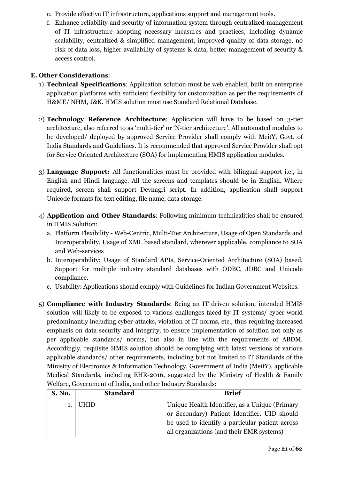- e. Provide effective IT infrastructure, applications support and management tools.
- f. Enhance reliability and security of information system through centralized management of IT infrastructure adopting necessary measures and practices, including dynamic scalability, centralized & simplified management, improved quality of data storage, no risk of data loss, higher availability of systems & data, better management of security & access control.

#### **E. Other Considerations**:

- 1) **Technical Specifications**: Application solution must be web enabled, built on enterprise application platforms with sufficient flexibility for customization as per the requirements of H&ME/ NHM, J&K. HMIS solution must use Standard Relational Database.
- 2) **Technology Reference Architecture**: Application will have to be based on 3-tier architecture, also referred to as 'multi-tier' or 'N-tier architecture'. All automated modules to be developed/ deployed by approved Service Provider shall comply with MeitY, Govt. of India Standards and Guidelines. It is recommended that approved Service Provider shall opt for Service Oriented Architecture (SOA) for implementing HMIS application modules.
- 3) **Language Support:** All functionalities must be provided with bilingual support i.e., in English and Hindi language. All the screens and templates should be in English. Where required, screen shall support Devnagri script. In addition, application shall support Unicode formats for text editing, file name, data storage.
- 4) **Application and Other Standards**: Following minimum technicalities shall be ensured in HMIS Solution:
	- a. Platform Flexibility Web-Centric, Multi-Tier Architecture, Usage of Open Standards and Interoperability, Usage of XML based standard, wherever applicable, compliance to SOA and Web-services
	- b. Interoperability: Usage of Standard APIs, Service-Oriented Architecture (SOA) based, Support for multiple industry standard databases with ODBC, JDBC and Unicode compliance.
	- c. Usability: Applications should comply with Guidelines for Indian Government Websites.
- 5) **Compliance with Industry Standards**: Being an IT driven solution, intended HMIS solution will likely to be exposed to various challenges faced by IT systems/ cyber-world predominantly including cyber-attacks, violation of IT norms, etc., thus requiring increased emphasis on data security and integrity, to ensure implementation of solution not only as per applicable standards/ norms, but also in line with the requirements of ABDM. Accordingly, requisite HMIS solution should be complying with latest versions of various applicable standards/ other requirements, including but not limited to IT Standards of the Ministry of Electronics & Information Technology, Government of India (MeitY), applicable Medical Standards, including EHR-2016, suggested by the Ministry of Health & Family Welfare, Government of India, and other Industry Standards:

| <b>S. No.</b> | <b>Standard</b> | <b>Brief</b>                                    |
|---------------|-----------------|-------------------------------------------------|
| 1.            | UHID            | Unique Health Identifier, as a Unique (Primary  |
|               |                 | or Secondary) Patient Identifier. UID should    |
|               |                 | be used to identify a particular patient across |
|               |                 | all organizations (and their EMR systems)       |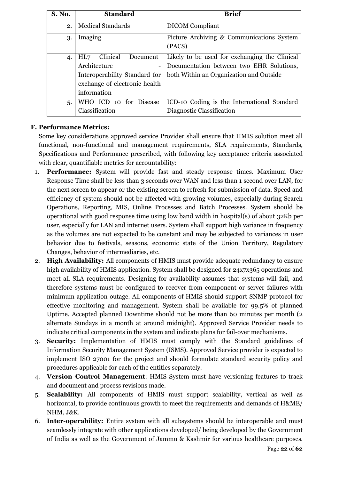| <b>S. No.</b> | <b>Standard</b>                                                                                                                                          | <b>Brief</b>                                                                                                                         |
|---------------|----------------------------------------------------------------------------------------------------------------------------------------------------------|--------------------------------------------------------------------------------------------------------------------------------------|
| 2.            | <b>Medical Standards</b>                                                                                                                                 | <b>DICOM</b> Compliant                                                                                                               |
| 3.            | Imaging                                                                                                                                                  | Picture Archiving & Communications System<br>(PACS)                                                                                  |
| 4.            | Clinical<br>Document<br>HL7<br>Architecture<br>$\overline{\phantom{a}}$<br>Interoperability Standard for<br>exchange of electronic health<br>information | Likely to be used for exchanging the Clinical<br>Documentation between two EHR Solutions,<br>both Within an Organization and Outside |
| 5.            | WHO ICD 10 for Disease<br>Classification                                                                                                                 | ICD-10 Coding is the International Standard<br>Diagnostic Classification                                                             |

#### **F. Performance Metrics:**

Some key considerations approved service Provider shall ensure that HMIS solution meet all functional, non-functional and management requirements, SLA requirements, Standards, Specifications and Performance prescribed, with following key acceptance criteria associated with clear, quantifiable metrics for accountability:

- 1. **Performance:** System will provide fast and steady response times. Maximum User Response Time shall be less than 3 seconds over WAN and less than 1 second over LAN, for the next screen to appear or the existing screen to refresh for submission of data. Speed and efficiency of system should not be affected with growing volumes, especially during Search Operations, Reporting, MIS, Online Processes and Batch Processes. System should be operational with good response time using low band width in hospital(s) of about 32Kb per user, especially for LAN and internet users. System shall support high variance in frequency as the volumes are not expected to be constant and may be subjected to variances in user behavior due to festivals, seasons, economic state of the Union Territory, Regulatory Changes, behavior of intermediaries, etc.
- 2. **High Availability:** All components of HMIS must provide adequate redundancy to ensure high availability of HMIS application. System shall be designed for 24x7x365 operations and meet all SLA requirements. Designing for availability assumes that systems will fail, and therefore systems must be configured to recover from component or server failures with minimum application outage. All components of HMIS should support SNMP protocol for effective monitoring and management. System shall be available for 99.5% of planned Uptime. Accepted planned Downtime should not be more than 60 minutes per month (2 alternate Sundays in a month at around midnight). Approved Service Provider needs to indicate critical components in the system and indicate plans for fail-over mechanisms.
- 3. **Security:** Implementation of HMIS must comply with the Standard guidelines of Information Security Management System (ISMS). Approved Service provider is expected to implement ISO 27001 for the project and should formulate standard security policy and procedures applicable for each of the entities separately.
- 4. **Version Control Management**: HMIS System must have versioning features to track and document and process revisions made.
- 5. **Scalability:** All components of HMIS must support scalability, vertical as well as horizontal, to provide continuous growth to meet the requirements and demands of H&ME/ NHM, J&K.
- 6. **Inter-operability:** Entire system with all subsystems should be interoperable and must seamlessly integrate with other applications developed/ being developed by the Government of India as well as the Government of Jammu & Kashmir for various healthcare purposes.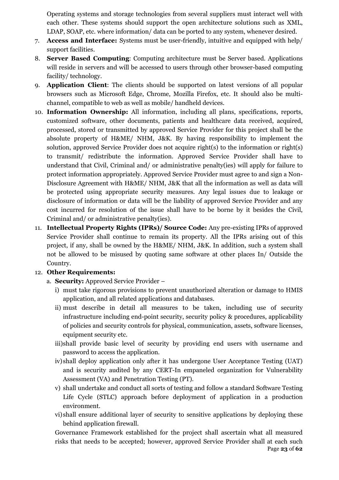Operating systems and storage technologies from several suppliers must interact well with each other. These systems should support the open architecture solutions such as XML, LDAP, SOAP, etc. where information/ data can be ported to any system, whenever desired.

- 7. **Access and Interface:** Systems must be user-friendly, intuitive and equipped with help/ support facilities.
- 8. **Server Based Computing**: Computing architecture must be Server based. Applications will reside in servers and will be accessed to users through other browser-based computing facility/ technology.
- 9. **Application Client**: The clients should be supported on latest versions of all popular browsers such as Microsoft Edge, Chrome, Mozilla Firefox, etc. It should also be multichannel, compatible to web as well as mobile/ handheld devices.
- 10. **Information Ownership:** All information, including all plans, specifications, reports, customized software, other documents, patients and healthcare data received, acquired, processed, stored or transmitted by approved Service Provider for this project shall be the absolute property of H&ME/ NHM, J&K. By having responsibility to implement the solution, approved Service Provider does not acquire right(s) to the information or right(s) to transmit/ redistribute the information. Approved Service Provider shall have to understand that Civil, Criminal and/ or administrative penalty(ies) will apply for failure to protect information appropriately. Approved Service Provider must agree to and sign a Non-Disclosure Agreement with H&ME/ NHM, J&K that all the information as well as data will be protected using appropriate security measures. Any legal issues due to leakage or disclosure of information or data will be the liability of approved Service Provider and any cost incurred for resolution of the issue shall have to be borne by it besides the Civil, Criminal and/ or administrative penalty(ies).
- 11. **Intellectual Property Rights (IPRs)/ Source Code:** Any pre-existing IPRs of approved Service Provider shall continue to remain its property. All the IPRs arising out of this project, if any, shall be owned by the H&ME/ NHM, J&K. In addition, such a system shall not be allowed to be misused by quoting same software at other places In/ Outside the Country.

#### 12. **Other Requirements:**

- a. **Security:** Approved Service Provider
	- i) must take rigorous provisions to prevent unauthorized alteration or damage to HMIS application, and all related applications and databases.
	- ii) must describe in detail all measures to be taken, including use of security infrastructure including end-point security, security policy & procedures, applicability of policies and security controls for physical, communication, assets, software licenses, equipment security etc.
	- iii)shall provide basic level of security by providing end users with username and password to access the application.
	- iv)shall deploy application only after it has undergone User Acceptance Testing (UAT) and is security audited by any CERT-In empaneled organization for Vulnerability Assessment (VA) and Penetration Testing (PT).
	- v) shall undertake and conduct all sorts of testing and follow a standard Software Testing Life Cycle (STLC) approach before deployment of application in a production environment.
	- vi)shall ensure additional layer of security to sensitive applications by deploying these behind application firewall.

Page **23** of **62** Governance Framework established for the project shall ascertain what all measured risks that needs to be accepted; however, approved Service Provider shall at each such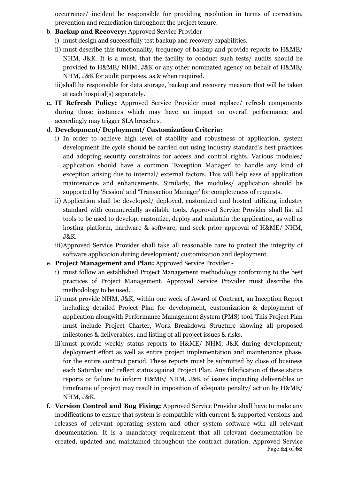occurrence/ incident be responsible for providing resolution in terms of correction, prevention and remediation throughout the project tenure.

- b. **Backup and Recovery:** Approved Service Provider
	- i) must design and successfully test backup and recovery capabilities.
	- ii) must describe this functionality, frequency of backup and provide reports to H&ME/ NHM, J&K. It is a must, that the facility to conduct such tests/ audits should be provided to H&ME/ NHM, J&K or any other nominated agency on behalf of H&ME/ NHM, J&K for audit purposes, as & when required.
	- iii)shall be responsible for data storage, backup and recovery measure that will be taken at each hospital(s) separately.
- **c. IT Refresh Policy:** Approved Service Provider must replace/ refresh components during those instances which may have an impact on overall performance and accordingly may trigger SLA breaches.

#### d. **Development/ Deployment/ Customization Criteria:**

- i) In order to achieve high level of stability and robustness of application, system development life cycle should be carried out using industry standard's best practices and adopting security constraints for access and control rights. Various modules/ application should have a common 'Exception Manager' to handle any kind of exception arising due to internal/ external factors. This will help ease of application maintenance and enhancements. Similarly, the modules/ application should be supported by 'Session' and 'Transaction Manager' for completeness of requests.
- ii) Application shall be developed/ deployed, customized and hosted utilizing industry standard with commercially available tools. Approved Service Provider shall list all tools to be used to develop, customize, deploy and maintain the application, as well as hosting platform, hardware & software, and seek prior approval of H&ME/ NHM, J&K.
- iii)Approved Service Provider shall take all reasonable care to protect the integrity of software application during development/ customization and deployment.
- e. **Project Management and Plan:** Approved Service Provider
	- i) must follow an established Project Management methodology conforming to the best practices of Project Management. Approved Service Provider must describe the methodology to be used.
	- ii) must provide NHM, J&K, within one week of Award of Contract, an Inception Report including detailed Project Plan for development, customization & deployment of application alongwith Performance Management System (PMS) tool. This Project Plan must include Project Charter, Work Breakdown Structure showing all proposed milestones & deliverables, and listing of all project issues & risks.
	- iii)must provide weekly status reports to H&ME/ NHM, J&K during development/ deployment effort as well as entire project implementation and maintenance phase, for the entire contract period. These reports must be submitted by close of business each Saturday and reflect status against Project Plan. Any falsification of these status reports or failure to inform H&ME/ NHM, J&K of issues impacting deliverables or timeframe of project may result in imposition of adequate penalty/ action by H&ME/ NHM, J&K.
- Page **24** of **62** f. **Version Control and Bug Fixing:** Approved Service Provider shall have to make any modifications to ensure that system is compatible with current & supported versions and releases of relevant operating system and other system software with all relevant documentation. It is a mandatory requirement that all relevant documentation be created, updated and maintained throughout the contract duration. Approved Service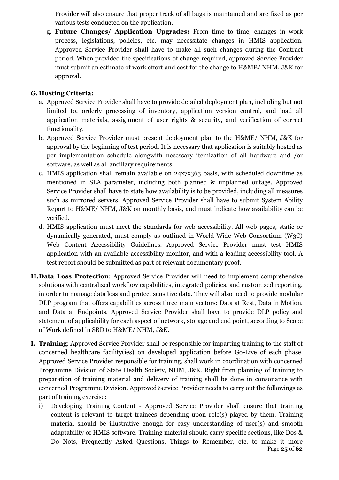Provider will also ensure that proper track of all bugs is maintained and are fixed as per various tests conducted on the application.

g. **Future Changes/ Application Upgrades:** From time to time, changes in work process, legislations, policies, etc. may necessitate changes in HMIS application. Approved Service Provider shall have to make all such changes during the Contract period. When provided the specifications of change required, approved Service Provider must submit an estimate of work effort and cost for the change to H&ME/ NHM, J&K for approval.

#### **G. Hosting Criteria:**

- a. Approved Service Provider shall have to provide detailed deployment plan, including but not limited to, orderly processing of inventory, application version control, and load all application materials, assignment of user rights & security, and verification of correct functionality.
- b. Approved Service Provider must present deployment plan to the H&ME/ NHM, J&K for approval by the beginning of test period. It is necessary that application is suitably hosted as per implementation schedule alongwith necessary itemization of all hardware and /or software, as well as all ancillary requirements.
- c. HMIS application shall remain available on 24x7x365 basis, with scheduled downtime as mentioned in SLA parameter, including both planned & unplanned outage. Approved Service Provider shall have to state how availability is to be provided, including all measures such as mirrored servers. Approved Service Provider shall have to submit System Ability Report to H&ME/ NHM, J&K on monthly basis, and must indicate how availability can be verified.
- d. HMIS application must meet the standards for web accessibility. All web pages, static or dynamically generated, must comply as outlined in World Wide Web Consortium (W3C) Web Content Accessibility Guidelines. Approved Service Provider must test HMIS application with an available accessibility monitor, and with a leading accessibility tool. A test report should be submitted as part of relevant documentary proof.
- **H.Data Loss Protection**: Approved Service Provider will need to implement comprehensive solutions with centralized workflow capabilities, integrated policies, and customized reporting, in order to manage data loss and protect sensitive data. They will also need to provide modular DLP program that offers capabilities across three main vectors: Data at Rest, Data in Motion, and Data at Endpoints. Approved Service Provider shall have to provide DLP policy and statement of applicability for each aspect of network, storage and end point, according to Scope of Work defined in SBD to H&ME/ NHM, J&K.
- **I. Training**: Approved Service Provider shall be responsible for imparting training to the staff of concerned healthcare facility(ies) on developed application before Go-Live of each phase. Approved Service Provider responsible for training, shall work in coordination with concerned Programme Division of State Health Society, NHM, J&K. Right from planning of training to preparation of training material and delivery of training shall be done in consonance with concerned Programme Division. Approved Service Provider needs to carry out the followings as part of training exercise:
	- Page **25** of **62** i) Developing Training Content - Approved Service Provider shall ensure that training content is relevant to target trainees depending upon role(s) played by them. Training material should be illustrative enough for easy understanding of user(s) and smooth adaptability of HMIS software. Training material should carry specific sections, like Dos & Do Nots, Frequently Asked Questions, Things to Remember, etc. to make it more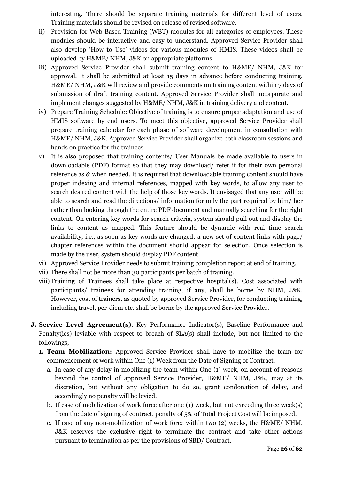interesting. There should be separate training materials for different level of users. Training materials should be revised on release of revised software.

- ii) Provision for Web Based Training (WBT) modules for all categories of employees. These modules should be interactive and easy to understand. Approved Service Provider shall also develop 'How to Use' videos for various modules of HMIS. These videos shall be uploaded by H&ME/ NHM, J&K on appropriate platforms.
- iii) Approved Service Provider shall submit training content to H&ME/ NHM, J&K for approval. It shall be submitted at least 15 days in advance before conducting training. H&ME/ NHM, J&K will review and provide comments on training content within 7 days of submission of draft training content. Approved Service Provider shall incorporate and implement changes suggested by H&ME/ NHM, J&K in training delivery and content.
- iv) Prepare Training Schedule: Objective of training is to ensure proper adaptation and use of HMIS software by end users. To meet this objective, approved Service Provider shall prepare training calendar for each phase of software development in consultation with H&ME/ NHM, J&K. Approved Service Provider shall organize both classroom sessions and hands on practice for the trainees.
- v) It is also proposed that training contents/ User Manuals be made available to users in downloadable (PDF) format so that they may download/ refer it for their own personal reference as & when needed. It is required that downloadable training content should have proper indexing and internal references, mapped with key words, to allow any user to search desired content with the help of those key words. It envisaged that any user will be able to search and read the directions/ information for only the part required by him/ her rather than looking through the entire PDF document and manually searching for the right content. On entering key words for search criteria, system should pull out and display the links to content as mapped. This feature should be dynamic with real time search availability, i.e., as soon as key words are changed; a new set of content links with page/ chapter references within the document should appear for selection. Once selection is made by the user, system should display PDF content.
- vi) Approved Service Provider needs to submit training completion report at end of training.
- vii) There shall not be more than 30 participants per batch of training.
- viii) Training of Trainees shall take place at respective hospital(s). Cost associated with participants/ trainees for attending training, if any, shall be borne by NHM, J&K. However, cost of trainers, as quoted by approved Service Provider, for conducting training, including travel, per-diem etc. shall be borne by the approved Service Provider.
- **J. Service Level Agreement(s)**: Key Performance Indicator(s), Baseline Performance and Penalty(ies) leviable with respect to breach of SLA(s) shall include, but not limited to the followings,
	- **1. Team Mobilization:** Approved Service Provider shall have to mobilize the team for commencement of work within One (1) Week from the Date of Signing of Contract.
		- a. In case of any delay in mobilizing the team within One (1) week, on account of reasons beyond the control of approved Service Provider, H&ME/ NHM, J&K, may at its discretion, but without any obligation to do so, grant condonation of delay, and accordingly no penalty will be levied.
		- b. If case of mobilization of work force after one (1) week, but not exceeding three week(s) from the date of signing of contract, penalty of 5% of Total Project Cost will be imposed.
		- c. If case of any non-mobilization of work force within two (2) weeks, the H&ME/ NHM, J&K reserves the exclusive right to terminate the contract and take other actions pursuant to termination as per the provisions of SBD/ Contract.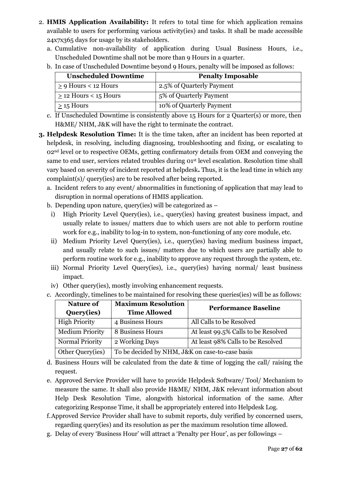- 2. **HMIS Application Availability:** It refers to total time for which application remains available to users for performing various activity(ies) and tasks. It shall be made accessible 24x7x365 days for usage by its stakeholders.
	- a. Cumulative non-availability of application during Usual Business Hours, i.e., Unscheduled Downtime shall not be more than 9 Hours in a quarter.
	- b. In case of Unscheduled Downtime beyond 9 Hours, penalty will be imposed as follows:

| <b>Unscheduled Downtime</b> | <b>Penalty Imposable</b>  |
|-----------------------------|---------------------------|
| $\geq$ 9 Hours < 12 Hours   | 2.5% of Quarterly Payment |
| $\geq$ 12 Hours < 15 Hours  | 5% of Quarterly Payment   |
| $>$ 15 Hours                | 10% of Quarterly Payment  |

- c. If Unscheduled Downtime is consistently above 15 Hours for 2 Quarter(s) or more, then H&ME/ NHM, J&K will have the right to terminate the contract.
- **3. Helpdesk Resolution Time:** It is the time taken, after an incident has been reported at helpdesk, in resolving, including diagnosing, troubleshooting and fixing, or escalating to 02<sup>nd</sup> level or to respective OEMs, getting confirmatory details from OEM and conveying the same to end user, services related troubles during  $O<sup>st</sup>$  level escalation. Resolution time shall vary based on severity of incident reported at helpdesk**.** Thus, it is the lead time in which any complaint(s)/ query(ies) are to be resolved after being reported.
	- a. Incident refers to any event/ abnormalities in functioning of application that may lead to disruption in normal operations of HMIS application.
	- b. Depending upon nature, query(ies) will be categorized as
		- i) High Priority Level Query(ies), i.e., query(ies) having greatest business impact, and usually relate to issues/ matters due to which users are not able to perform routine work for e.g., inability to log-in to system, non-functioning of any core module, etc.
		- ii) Medium Priority Level Query(ies), i.e., query(ies) having medium business impact, and usually relate to such issues/ matters due to which users are partially able to perform routine work for e.g., inability to approve any request through the system, etc.
		- iii) Normal Priority Level Query(ies), i.e., query(ies) having normal/ least business impact.
		- iv) Other query(ies), mostly involving enhancement requests.

|  |  |  |  | c. Accordingly, timelines to be maintained for resolving these queries(ies) will be as follows: |  |  |
|--|--|--|--|-------------------------------------------------------------------------------------------------|--|--|
|--|--|--|--|-------------------------------------------------------------------------------------------------|--|--|

| Nature of              | <b>Maximum Resolution</b>                       | <b>Performance Baseline</b>         |  |  |  |
|------------------------|-------------------------------------------------|-------------------------------------|--|--|--|
| Query(ies)             | <b>Time Allowed</b>                             |                                     |  |  |  |
| <b>High Priority</b>   | 4 Business Hours                                | All Calls to be Resolved            |  |  |  |
| <b>Medium Priority</b> | 8 Business Hours                                | At least 99.5% Calls to be Resolved |  |  |  |
| <b>Normal Priority</b> | 2 Working Days                                  | At least 98% Calls to be Resolved   |  |  |  |
| Other Query(ies)       | To be decided by NHM, J&K on case-to-case basis |                                     |  |  |  |

- d. Business Hours will be calculated from the date & time of logging the call/ raising the request.
- e. Approved Service Provider will have to provide Helpdesk Software/ Tool/ Mechanism to measure the same. It shall also provide H&ME/ NHM, J&K relevant information about Help Desk Resolution Time, alongwith historical information of the same. After categorizing Response Time, it shall be appropriately entered into Helpdesk Log.
- f.Approved Service Provider shall have to submit reports, duly verified by concerned users, regarding query(ies) and its resolution as per the maximum resolution time allowed.
- g. Delay of every 'Business Hour' will attract a 'Penalty per Hour', as per followings –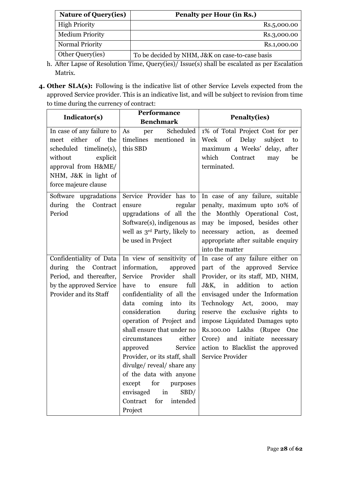| <b>Nature of Query(ies)</b> | Penalty per Hour (in Rs.)                       |
|-----------------------------|-------------------------------------------------|
| <b>High Priority</b>        | Rs.5,000.00                                     |
| <b>Medium Priority</b>      | Rs.3,000.00                                     |
| <b>Normal Priority</b>      | Rs.1,000.00                                     |
| Other Query(ies)            | To be decided by NHM, J&K on case-to-case basis |

- h. After Lapse of Resolution Time, Query(ies)/ Issue(s) shall be escalated as per Escalation Matrix.
- **4. Other SLA(s):** Following is the indicative list of other Service Levels expected from the approved Service provider. This is an indicative list, and will be subject to revision from time to time during the currency of contract:

| Indicator(s)              | Performance                              | <b>Penalty(ies)</b>                  |  |
|---------------------------|------------------------------------------|--------------------------------------|--|
|                           | <b>Benchmark</b>                         |                                      |  |
| In case of any failure to | Scheduled<br>per<br>As                   | 1% of Total Project Cost for per     |  |
| either of the<br>meet     | timelines mentioned in                   | subject<br>Week<br>of<br>Delay<br>to |  |
| scheduled timeline(s),    | this SBD                                 | maximum 4 Weeks' delay, after        |  |
| without<br>explicit       |                                          | which<br>Contract<br>be<br>may       |  |
| approval from H&ME/       |                                          | terminated.                          |  |
| NHM, J&K in light of      |                                          |                                      |  |
| force majeure clause      |                                          |                                      |  |
| Software upgradations     | Service Provider has to                  | In case of any failure, suitable     |  |
| during<br>the<br>Contract | regular<br>ensure                        | penalty, maximum upto 10% of         |  |
| Period                    | upgradations of all the                  | the Monthly Operational Cost,        |  |
|                           | Software(s), indigenous as               | may be imposed, besides other        |  |
|                           | well as 3 <sup>rd</sup> Party, likely to | necessary<br>action,<br>as<br>deemed |  |
|                           | be used in Project                       | appropriate after suitable enquiry   |  |
|                           |                                          | into the matter                      |  |
| Confidentiality of Data   | In view of sensitivity of                | In case of any failure either on     |  |
| during<br>the Contract    | information,<br>approved                 | part of the approved Service         |  |
| Period, and thereafter,   | Service Provider<br>shall                | Provider, or its staff, MD, NHM,     |  |
| by the approved Service   | full<br>have<br>to<br>ensure             | J&K, in<br>addition to action        |  |
| Provider and its Staff    | confidentiality of all the               | envisaged under the Information      |  |
|                           | data coming into<br>its                  | Technology Act, 2000, may            |  |
|                           | consideration<br>during                  | reserve the exclusive rights to      |  |
|                           | operation of Project and                 | impose Liquidated Damages upto       |  |
|                           | shall ensure that under no               | Rs.100.00 Lakhs (Rupee One           |  |
|                           | either<br>circumstances                  | Crore) and initiate<br>necessary     |  |
|                           | approved<br>Service                      | action to Blacklist the approved     |  |
|                           | Provider, or its staff, shall            | Service Provider                     |  |
|                           | divulge/reveal/share any                 |                                      |  |
|                           | of the data with anyone                  |                                      |  |
|                           | except<br>for<br>purposes                |                                      |  |
|                           | envisaged<br>SBD/<br>in                  |                                      |  |
|                           | Contract<br>for<br>intended              |                                      |  |
|                           | Project                                  |                                      |  |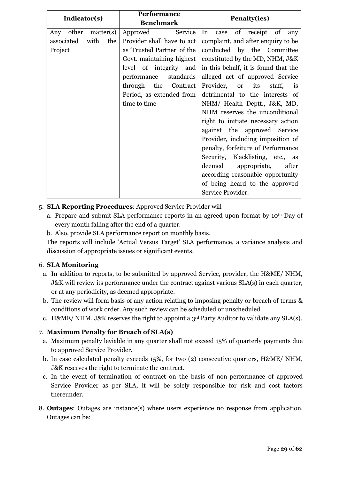| Indicator(s)           |     | <b>Performance</b>          | Penalty(ies)                          |  |
|------------------------|-----|-----------------------------|---------------------------------------|--|
|                        |     | <b>Benchmark</b>            |                                       |  |
| matter(s)<br>Any other |     | Approved<br>Service         | of<br>In<br>of receipt<br>case<br>any |  |
| associated<br>with     | the | Provider shall have to act  | complaint, and after enquiry to be    |  |
| Project                |     | as 'Trusted Partner' of the | conducted by the Committee            |  |
|                        |     | Govt. maintaining highest   | constituted by the MD, NHM, J&K       |  |
|                        |     | level of integrity and      | in this behalf, it is found that the  |  |
|                        |     | performance<br>standards    | alleged act of approved Service       |  |
|                        |     | through the<br>Contract     | Provider, or<br>its<br>staff,<br>is   |  |
|                        |     | Period, as extended from    | detrimental to the interests of       |  |
|                        |     | time to time                | NHM/ Health Deptt., J&K, MD,          |  |
|                        |     |                             | NHM reserves the unconditional        |  |
|                        |     |                             | right to initiate necessary action    |  |
|                        |     |                             | against the approved Service          |  |
|                        |     |                             | Provider, including imposition of     |  |
|                        |     |                             | penalty, forfeiture of Performance    |  |
|                        |     |                             | Security, Blacklisting, etc., as      |  |
|                        |     |                             | deemed appropriate,<br>after          |  |
|                        |     |                             | according reasonable opportunity      |  |
|                        |     |                             | of being heard to the approved        |  |
|                        |     |                             | Service Provider.                     |  |

- 5. **SLA Reporting Procedures**: Approved Service Provider will
	- a. Prepare and submit SLA performance reports in an agreed upon format by 10th Day of every month falling after the end of a quarter.
	- b. Also, provide SLA performance report on monthly basis.

The reports will include 'Actual Versus Target' SLA performance, a variance analysis and discussion of appropriate issues or significant events.

#### 6. **SLA Monitoring**

- a. In addition to reports, to be submitted by approved Service, provider, the H&ME/ NHM, J&K will review its performance under the contract against various SLA(s) in each quarter, or at any periodicity, as deemed appropriate.
- b. The review will form basis of any action relating to imposing penalty or breach of terms & conditions of work order. Any such review can be scheduled or unscheduled.
- c. H&ME/ NHM, J&K reserves the right to appoint a 3rd Party Auditor to validate any SLA(s).

#### 7. **Maximum Penalty for Breach of SLA(s)**

- a. Maximum penalty leviable in any quarter shall not exceed 15% of quarterly payments due to approved Service Provider.
- b. In case calculated penalty exceeds 15%, for two (2) consecutive quarters, H&ME/ NHM, J&K reserves the right to terminate the contract.
- c. In the event of termination of contract on the basis of non-performance of approved Service Provider as per SLA, it will be solely responsible for risk and cost factors thereunder.
- 8. **Outages**: Outages are instance(s) where users experience no response from application. Outages can be: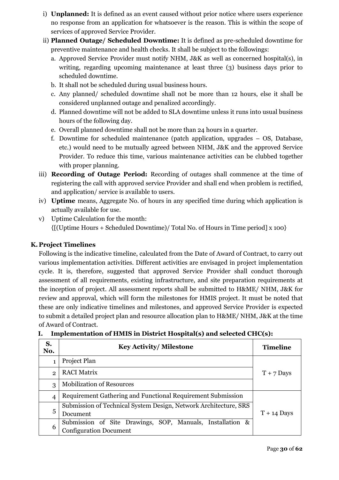- i) **Unplanned:** It is defined as an event caused without prior notice where users experience no response from an application for whatsoever is the reason. This is within the scope of services of approved Service Provider.
- ii) **Planned Outage/ Scheduled Downtime:** It is defined as pre-scheduled downtime for preventive maintenance and health checks. It shall be subject to the followings:
	- a. Approved Service Provider must notify NHM, J&K as well as concerned hospital(s), in writing, regarding upcoming maintenance at least three (3) business days prior to scheduled downtime.
	- b. It shall not be scheduled during usual business hours.
	- c. Any planned/ scheduled downtime shall not be more than 12 hours, else it shall be considered unplanned outage and penalized accordingly.
	- d. Planned downtime will not be added to SLA downtime unless it runs into usual business hours of the following day.
	- e. Overall planned downtime shall not be more than 24 hours in a quarter.
	- f. Downtime for scheduled maintenance (patch application, upgrades OS, Database, etc.) would need to be mutually agreed between NHM, J&K and the approved Service Provider. To reduce this time, various maintenance activities can be clubbed together with proper planning.
- iii) **Recording of Outage Period:** Recording of outages shall commence at the time of registering the call with approved service Provider and shall end when problem is rectified, and application/ service is available to users.
- iv) **Uptime** means, Aggregate No. of hours in any specified time during which application is actually available for use.
- v) Uptime Calculation for the month: {[(Uptime Hours + Scheduled Downtime)/ Total No. of Hours in Time period] x 100}

#### **K. Project Timelines**

Following is the indicative timeline, calculated from the Date of Award of Contract, to carry out various implementation activities. Different activities are envisaged in project implementation cycle. It is, therefore, suggested that approved Service Provider shall conduct thorough assessment of all requirements, existing infrastructure, and site preparation requirements at the inception of project. All assessment reports shall be submitted to H&ME/ NHM, J&K for review and approval, which will form the milestones for HMIS project. It must be noted that these are only indicative timelines and milestones, and approved Service Provider is expected to submit a detailed project plan and resource allocation plan to H&ME/ NHM, J&K at the time of Award of Contract.

| S.<br>No.      | <b>Key Activity/Milestone</b>                                                              | <b>Timeline</b> |
|----------------|--------------------------------------------------------------------------------------------|-----------------|
| 1              | Project Plan                                                                               |                 |
| $\mathfrak{p}$ | <b>RACI Matrix</b>                                                                         | $T + 7$ Days    |
| 3              | <b>Mobilization of Resources</b>                                                           |                 |
| $\overline{4}$ | Requirement Gathering and Functional Requirement Submission                                |                 |
| 5              | Submission of Technical System Design, Network Architecture, SRS<br>Document               | $T + 14$ Days   |
| 6              | Submission of Site Drawings, SOP, Manuals, Installation &<br><b>Configuration Document</b> |                 |

| Implementation of HMIS in District Hospital(s) and selected CHC(s): |  |
|---------------------------------------------------------------------|--|
|                                                                     |  |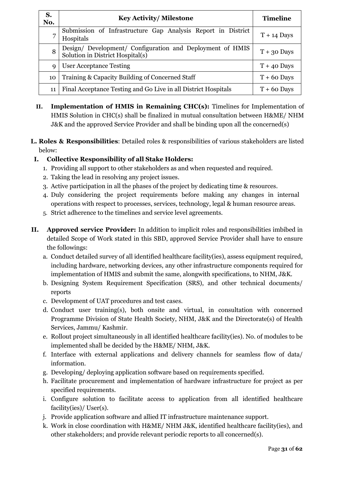| S.<br>No.   | <b>Key Activity/Milestone</b>                                                                 | <b>Timeline</b> |
|-------------|-----------------------------------------------------------------------------------------------|-----------------|
| 7           | Submission of Infrastructure Gap Analysis Report in District<br>Hospitals                     | $T + 14$ Days   |
| 8           | Design/ Development/ Configuration and Deployment of HMIS<br>Solution in District Hospital(s) | $T + 30$ Days   |
| $\mathbf Q$ | <b>User Acceptance Testing</b>                                                                | $T + 40$ Days   |
| 10          | Training & Capacity Building of Concerned Staff                                               | $T + 60$ Days   |
| 11          | Final Acceptance Testing and Go Live in all District Hospitals                                | $T + 60$ Days   |

- **II. Implementation of HMIS in Remaining CHC(s):** Timelines for Implementation of HMIS Solution in CHC(s) shall be finalized in mutual consultation between H&ME/ NHM J&K and the approved Service Provider and shall be binding upon all the concerned(s)
- **L. Roles & Responsibilities**: Detailed roles & responsibilities of various stakeholders are listed below:

#### **I. Collective Responsibility of all Stake Holders:**

- 1. Providing all support to other stakeholders as and when requested and required.
- 2. Taking the lead in resolving any project issues.
- 3. Active participation in all the phases of the project by dedicating time & resources.
- 4. Duly considering the project requirements before making any changes in internal operations with respect to processes, services, technology, legal & human resource areas.
- 5. Strict adherence to the timelines and service level agreements.
- **II. Approved service Provider:** In addition to implicit roles and responsibilities imbibed in detailed Scope of Work stated in this SBD, approved Service Provider shall have to ensure the followings:
	- a. Conduct detailed survey of all identified healthcare facility(ies), assess equipment required, including hardware, networking devices, any other infrastructure components required for implementation of HMIS and submit the same, alongwith specifications, to NHM, J&K.
	- b. Designing System Requirement Specification (SRS), and other technical documents/ reports
	- c. Development of UAT procedures and test cases.
	- d. Conduct user training(s), both onsite and virtual, in consultation with concerned Programme Division of State Health Society, NHM, J&K and the Directorate(s) of Health Services, Jammu/ Kashmir.
	- e. Rollout project simultaneously in all identified healthcare facility(ies). No. of modules to be implemented shall be decided by the H&ME/ NHM, J&K.
	- f. Interface with external applications and delivery channels for seamless flow of data/ information.
	- g. Developing/ deploying application software based on requirements specified.
	- h. Facilitate procurement and implementation of hardware infrastructure for project as per specified requirements.
	- i. Configure solution to facilitate access to application from all identified healthcare facility(ies)/ User(s).
	- j. Provide application software and allied IT infrastructure maintenance support.
	- k. Work in close coordination with H&ME/ NHM J&K, identified healthcare facility(ies), and other stakeholders; and provide relevant periodic reports to all concerned(s).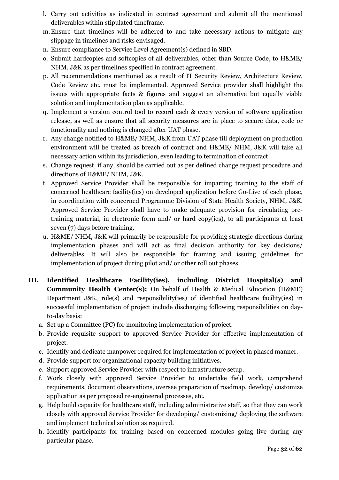- l. Carry out activities as indicated in contract agreement and submit all the mentioned deliverables within stipulated timeframe.
- m.Ensure that timelines will be adhered to and take necessary actions to mitigate any slippage in timelines and risks envisaged.
- n. Ensure compliance to Service Level Agreement(s) defined in SBD.
- o. Submit hardcopies and softcopies of all deliverables, other than Source Code, to H&ME/ NHM, J&K as per timelines specified in contract agreement.
- p. All recommendations mentioned as a result of IT Security Review, Architecture Review, Code Review etc. must be implemented. Approved Service provider shall highlight the issues with appropriate facts & figures and suggest an alternative but equally viable solution and implementation plan as applicable.
- q. Implement a version control tool to record each & every version of software application release, as well as ensure that all security measures are in place to secure data, code or functionality and nothing is changed after UAT phase.
- r. Any change notified to H&ME/ NHM, J&K from UAT phase till deployment on production environment will be treated as breach of contract and H&ME/ NHM, J&K will take all necessary action within its jurisdiction, even leading to termination of contract
- s. Change request, if any, should be carried out as per defined change request procedure and directions of H&ME/ NHM, J&K.
- t. Approved Service Provider shall be responsible for imparting training to the staff of concerned healthcare facility(ies) on developed application before Go-Live of each phase, in coordination with concerned Programme Division of State Health Society, NHM, J&K. Approved Service Provider shall have to make adequate provision for circulating pretraining material, in electronic form and/ or hard copy(ies), to all participants at least seven (7) days before training.
- u. H&ME/ NHM, J&K will primarily be responsible for providing strategic directions during implementation phases and will act as final decision authority for key decisions/ deliverables. It will also be responsible for framing and issuing guidelines for implementation of project during pilot and/ or other roll out phases.
- **III. Identified Healthcare Facility(ies), including District Hospital(s) and Community Health Center(s):** On behalf of Health & Medical Education (H&ME) Department J&K, role(s) and responsibility(ies) of identified healthcare facility(ies) in successful implementation of project include discharging following responsibilities on dayto-day basis:
	- a. Set up a Committee (PC) for monitoring implementation of project.
	- b. Provide requisite support to approved Service Provider for effective implementation of project.
	- c. Identify and dedicate manpower required for implementation of project in phased manner.
	- d. Provide support for organizational capacity building initiatives.
	- e. Support approved Service Provider with respect to infrastructure setup.
	- f. Work closely with approved Service Provider to undertake field work, comprehend requirements, document observations, oversee preparation of roadmap, develop/ customize application as per proposed re-engineered processes, etc.
	- g. Help build capacity for healthcare staff, including administrative staff, so that they can work closely with approved Service Provider for developing/ customizing/ deploying the software and implement technical solution as required.
	- h. Identify participants for training based on concerned modules going live during any particular phase.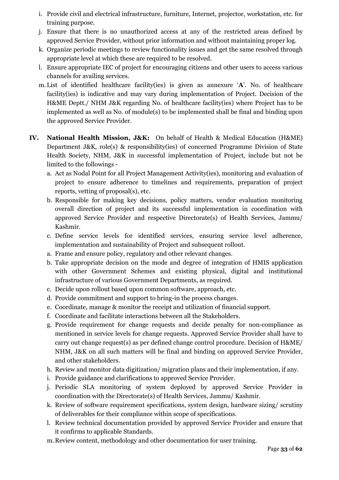- i. Provide civil and electrical infrastructure, furniture, Internet, projector, workstation, etc. for training purpose.
- j. Ensure that there is no unauthorized access at any of the restricted areas defined by approved Service Provider, without prior information and without maintaining proper log.
- k. Organize periodic meetings to review functionality issues and get the same resolved through appropriate level at which these are required to be resolved.
- l. Ensure appropriate IEC of project for encouraging citizens and other users to access various channels for availing services.
- m.List of identified healthcare facility(ies) is given as annexure '**A**'. No. of healthcare facility(ies) is indicative and may vary during implementation of Project. Decision of the H&ME Deptt./ NHM J&K regarding No. of healthcare facility(ies) where Project has to be implemented as well as No. of module(s) to be implemented shall be final and binding upon the approved Service Provider.
- **IV. National Health Mission, J&K:** On behalf of Health & Medical Education (H&ME) Department J&K, role(s) & responsibility(ies) of concerned Programme Division of State Health Society, NHM, J&K in successful implementation of Project, include but not be limited to the followings
	- a. Act as Nodal Point for all Project Management Activity(ies), monitoring and evaluation of project to ensure adherence to timelines and requirements, preparation of project reports, vetting of proposal(s), etc.
	- b. Responsible for making key decisions, policy matters, vendor evaluation monitoring overall direction of project and its successful implementation in coordination with approved Service Provider and respective Directorate(s) of Health Services, Jammu/ Kashmir.
	- c. Define service levels for identified services, ensuring service level adherence, implementation and sustainability of Project and subsequent rollout.
	- a. Frame and ensure policy, regulatory and other relevant changes.
	- b. Take appropriate decision on the mode and degree of integration of HMIS application with other Government Schemes and existing physical, digital and institutional infrastructure of various Government Departments, as required.
	- c. Decide upon rollout based upon common software, approach, etc.
	- d. Provide commitment and support to bring-in the process changes.
	- e. Coordinate, manage & monitor the receipt and utilization of financial support.
	- f. Coordinate and facilitate interactions between all the Stakeholders.
	- g. Provide requirement for change requests and decide penalty for non-compliance as mentioned in service levels for change requests. Approved Service Provider shall have to carry out change request(s) as per defined change control procedure. Decision of H&ME/ NHM, J&K on all such matters will be final and binding on approved Service Provider, and other stakeholders.
	- h. Review and monitor data digitization/ migration plans and their implementation, if any.
	- i. Provide guidance and clarifications to approved Service Provider.
	- j. Periodic SLA monitoring of system deployed by approved Service Provider in coordination with the Directorate(s) of Health Services, Jammu/ Kashmir.
	- k. Review of software requirement specifications, system design, hardware sizing/ scrutiny of deliverables for their compliance within scope of specifications.
	- l. Review technical documentation provided by approved Service Provider and ensure that it confirms to applicable Standards.
	- m.Review content, methodology and other documentation for user training.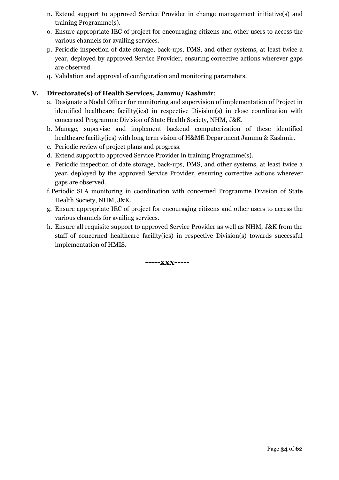- n. Extend support to approved Service Provider in change management initiative(s) and training Programme(s).
- o. Ensure appropriate IEC of project for encouraging citizens and other users to access the various channels for availing services.
- p. Periodic inspection of date storage, back-ups, DMS, and other systems, at least twice a year, deployed by approved Service Provider, ensuring corrective actions wherever gaps are observed.
- q. Validation and approval of configuration and monitoring parameters.

#### **V. Directorate(s) of Health Services, Jammu/ Kashmir**:

- a. Designate a Nodal Officer for monitoring and supervision of implementation of Project in identified healthcare facility(ies) in respective Division(s) in close coordination with concerned Programme Division of State Health Society, NHM, J&K.
- b. Manage, supervise and implement backend computerization of these identified healthcare facility(ies) with long term vision of H&ME Department Jammu & Kashmir.
- c. Periodic review of project plans and progress.
- d. Extend support to approved Service Provider in training Programme(s).
- e. Periodic inspection of date storage, back-ups, DMS, and other systems, at least twice a year, deployed by the approved Service Provider, ensuring corrective actions wherever gaps are observed.
- f.Periodic SLA monitoring in coordination with concerned Programme Division of State Health Society, NHM, J&K.
- g. Ensure appropriate IEC of project for encouraging citizens and other users to access the various channels for availing services.
- h. Ensure all requisite support to approved Service Provider as well as NHM, J&K from the staff of concerned healthcare facility(ies) in respective Division(s) towards successful implementation of HMIS.

**-----xxx-----**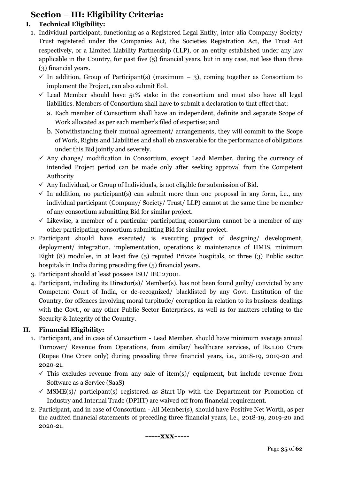### **Section – III: Eligibility Criteria:**

#### **I. Technical Eligibility:**

- 1. Individual participant, functioning as a Registered Legal Entity, inter-alia Company/ Society/ Trust registered under the Companies Act, the Societies Registration Act, the Trust Act respectively, or a Limited Liability Partnership (LLP), or an entity established under any law applicable in the Country, for past five (5) financial years, but in any case, not less than three (3) financial years.
	- $\checkmark$  In addition, Group of Participant(s) (maximum 3), coming together as Consortium to implement the Project, can also submit EoI.
	- $\checkmark$  Lead Member should have 51% stake in the consortium and must also have all legal liabilities. Members of Consortium shall have to submit a declaration to that effect that:
		- a. Each member of Consortium shall have an independent, definite and separate Scope of Work allocated as per each member's filed of expertise; and
		- b. Notwithstanding their mutual agreement/ arrangements, they will commit to the Scope of Work, Rights and Liabilities and shall eb answerable for the performance of obligations under this Bid jointly and severely.
	- $\checkmark$  Any change/ modification in Consortium, except Lead Member, during the currency of intended Project period can be made only after seeking approval from the Competent Authority
	- $\checkmark$  Any Individual, or Group of Individuals, is not eligible for submission of Bid.
	- $\checkmark$  In addition, no participant(s) can submit more than one proposal in any form, i.e., any individual participant (Company/ Society/ Trust/ LLP) cannot at the same time be member of any consortium submitting Bid for similar project.
	- $\checkmark$  Likewise, a member of a particular participating consortium cannot be a member of any other participating consortium submitting Bid for similar project.
- 2. Participant should have executed/ is executing project of designing/ development, deployment/ integration, implementation, operations & maintenance of HMIS, minimum Eight (8) modules, in at least five (5) reputed Private hospitals, or three (3) Public sector hospitals in India during preceding five  $(5)$  financial years.
- 3. Participant should at least possess ISO/ IEC 27001.
- 4. Participant, including its Director(s)/ Member(s), has not been found guilty/ convicted by any Competent Court of India, or de-recognized/ blacklisted by any Govt. Institution of the Country, for offences involving moral turpitude/ corruption in relation to its business dealings with the Govt., or any other Public Sector Enterprises, as well as for matters relating to the Security & Integrity of the Country.

### **II. Financial Eligibility:**

- 1. Participant, and in case of Consortium Lead Member, should have minimum average annual Turnover/ Revenue from Operations, from similar/ healthcare services, of Rs.1.00 Crore (Rupee One Crore only) during preceding three financial years, i.e., 2018-19, 2019-20 and 2020-21.
	- $\checkmark$  This excludes revenue from any sale of item(s)/ equipment, but include revenue from Software as a Service (SaaS)
	- $\checkmark$  MSME(s)/ participant(s) registered as Start-Up with the Department for Promotion of Industry and Internal Trade (DPIIT) are waived off from financial requirement.
- 2. Participant, and in case of Consortium All Member(s), should have Positive Net Worth, as per the audited financial statements of preceding three financial years, i.e., 2018-19, 2019-20 and 2020-21.

$$
\cdots - \mathbf{XXX} \cdots -
$$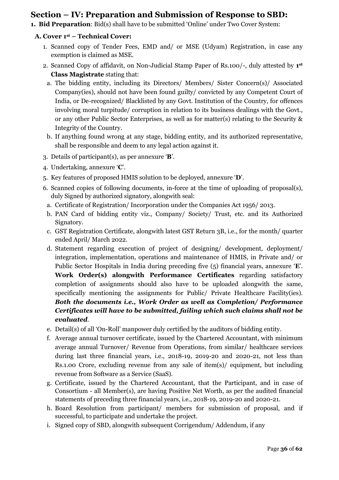### **Section – IV: Preparation and Submission of Response to SBD:**

**1. Bid Preparation**: Bid(s) shall have to be submitted 'Online' under Two Cover System:

#### **A. Cover 1st – Technical Cover:**

- 1. Scanned copy of Tender Fees, EMD and/ or MSE (Udyam) Registration, in case any exemption is claimed as MSE.
- 2. Scanned Copy of affidavit, on Non-Judicial Stamp Paper of Rs.100/-, duly attested by **1 st Class Magistrate** stating that:
	- a. The bidding entity, including its Directors/ Members/ Sister Concern(s)/ Associated Company(ies), should not have been found guilty/ convicted by any Competent Court of India, or De-recognized/ Blacklisted by any Govt. Institution of the Country, for offences involving moral turpitude/ corruption in relation to its business dealings with the Govt., or any other Public Sector Enterprises, as well as for matter(s) relating to the Security & Integrity of the Country.
- b. If anything found wrong at any stage, bidding entity, and its authorized representative, shall be responsible and deem to any legal action against it.
- 3. Details of participant(s), as per annexure '**B**'.
- 4. Undertaking, annexure '**C**'.
- 5. Key features of proposed HMIS solution to be deployed, annexure '**D**'.
- 6. Scanned copies of following documents, in-force at the time of uploading of proposal(s), duly Signed by authorized signatory, alongwith seal:
	- a. Certificate of Registration/ Incorporation under the Companies Act 1956/ 2013.
	- b. PAN Card of bidding entity viz., Company/ Society/ Trust, etc. and its Authorized Signatory.
	- c. GST Registration Certificate, alongwith latest GST Return 3B, i.e., for the month/ quarter ended April/ March 2022.
	- d. Statement regarding execution of project of designing/ development, deployment/ integration, implementation, operations and maintenance of HMIS, in Private and/ or Public Sector Hospitals in India during preceding five (5) financial years, annexure '**E**'. **Work Order(s) alongwith Performance Certificates** regarding satisfactory completion of assignments should also have to be uploaded alongwith the same, specifically mentioning the assignments for Public/ Private Healthcare Facility(ies). *Both the documents i.e., Work Order as well as Completion/ Performance Certificates will have to be submitted, failing which such claims shall not be evaluated*.
	- e. Detail(s) of all 'On-Roll' manpower duly certified by the auditors of bidding entity.
	- f. Average annual turnover certificate, issued by the Chartered Accountant, with minimum average annual Turnover/ Revenue from Operations, from similar/ healthcare services during last three financial years, i.e., 2018-19, 2019-20 and 2020-21, not less than Rs.1.00 Crore, excluding revenue from any sale of item(s)/ equipment, but including revenue from Software as a Service (SaaS).
	- g. Certificate, issued by the Chartered Accountant, that the Participant, and in case of Consortium - all Member(s), are having Positive Net Worth, as per the audited financial statements of preceding three financial years, i.e., 2018-19, 2019-20 and 2020-21.
	- h. Board Resolution from participant/ members for submission of proposal, and if successful, to participate and undertake the project.
	- i. Signed copy of SBD, alongwith subsequent Corrigendum/ Addendum, if any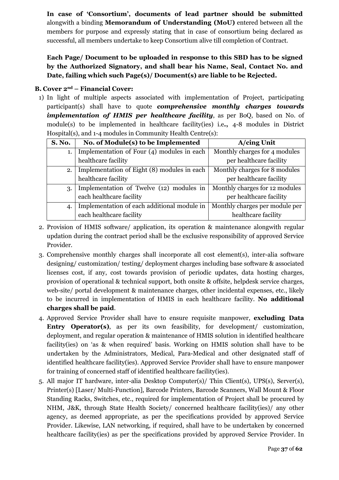**In case of 'Consortium', documents of lead partner should be submitted** alongwith a binding **Memorandum of Understanding (MoU)** entered between all the members for purpose and expressly stating that in case of consortium being declared as successful, all members undertake to keep Consortium alive till completion of Contract.

**Each Page/ Document to be uploaded in response to this SBD has to be signed by the Authorized Signatory, and shall bear his Name, Seal, Contact No. and Date, failing which such Page(s)/ Document(s) are liable to be Rejected.**

#### **B. Cover 2nd – Financial Cover:**

1) In light of multiple aspects associated with implementation of Project, participating participant(s) shall have to quote *comprehensive monthly charges towards implementation of HMIS per healthcare facility*, as per BoQ, based on No. of module(s) to be implemented in healthcare facility(ies) i.e**.,** 4-8 modules in District Hospital(s), and 1-4 modules in Community Health Centre(s):

| <b>S. No.</b> | No. of Module(s) to be Implemented          | A/cing Unit                    |
|---------------|---------------------------------------------|--------------------------------|
| 1.            | Implementation of Four (4) modules in each  | Monthly charges for 4 modules  |
|               | healthcare facility                         | per healthcare facility        |
| 2.            | Implementation of Eight (8) modules in each | Monthly charges for 8 modules  |
|               | healthcare facility                         | per healthcare facility        |
| 3.            | Implementation of Twelve (12) modules in    | Monthly charges for 12 modules |
|               | each healthcare facility                    | per healthcare facility        |
| 4.            | Implementation of each additional module in | Monthly charges per module per |
|               | each healthcare facility                    | healthcare facility            |

- 2. Provision of HMIS software/ application, its operation & maintenance alongwith regular updation during the contract period shall be the exclusive responsibility of approved Service Provider.
- 3. Comprehensive monthly charges shall incorporate all cost element(s), inter-alia software designing/ customization/ testing/ deployment charges including base software & associated licenses cost, if any, cost towards provision of periodic updates, data hosting charges, provision of operational & technical support, both onsite & offsite, helpdesk service charges, web-site/ portal development & maintenance charges, other incidental expenses, etc., likely to be incurred in implementation of HMIS in each healthcare facility. **No additional charges shall be paid**.
- 4. Approved Service Provider shall have to ensure requisite manpower, **excluding Data**  Entry Operator(s), as per its own feasibility, for development/ customization, deployment, and regular operation & maintenance of HMIS solution in identified healthcare facility(ies) on 'as & when required' basis. Working on HMIS solution shall have to be undertaken by the Administrators, Medical, Para-Medical and other designated staff of identified healthcare facility(ies). Approved Service Provider shall have to ensure manpower for training of concerned staff of identified healthcare facility(ies).
- 5. All major IT hardware, inter-alia Desktop Computer(s)/ Thin Client(s), UPS(s), Server(s), Printer(s) [Laser/ Multi-Function], Barcode Printers, Barcode Scanners, Wall Mount & Floor Standing Racks, Switches, etc., required for implementation of Project shall be procured by NHM, J&K, through State Health Society/ concerned healthcare facility(ies)/ any other agency, as deemed appropriate, as per the specifications provided by approved Service Provider. Likewise, LAN networking, if required, shall have to be undertaken by concerned healthcare facility(ies) as per the specifications provided by approved Service Provider. In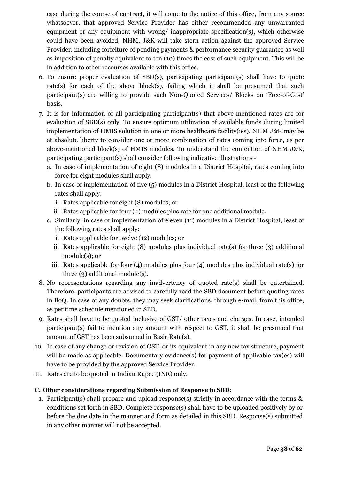case during the course of contract, it will come to the notice of this office, from any source whatsoever, that approved Service Provider has either recommended any unwarranted equipment or any equipment with wrong/ inappropriate specification(s), which otherwise could have been avoided, NHM, J&K will take stern action against the approved Service Provider, including forfeiture of pending payments & performance security guarantee as well as imposition of penalty equivalent to ten (10) times the cost of such equipment. This will be in addition to other recourses available with this office.

- 6. To ensure proper evaluation of SBD(s), participating participant(s) shall have to quote rate(s) for each of the above block(s), failing which it shall be presumed that such participant(s) are willing to provide such Non-Quoted Services/ Blocks on 'Free-of-Cost' basis.
- 7. It is for information of all participating participant(s) that above-mentioned rates are for evaluation of SBD(s) only. To ensure optimum utilization of available funds during limited implementation of HMIS solution in one or more healthcare facility(ies), NHM J&K may be at absolute liberty to consider one or more combination of rates coming into force, as per above-mentioned block(s) of HMIS modules. To understand the contention of NHM J&K, participating participant(s) shall consider following indicative illustrations
	- a. In case of implementation of eight (8) modules in a District Hospital, rates coming into force for eight modules shall apply.
	- b. In case of implementation of five (5) modules in a District Hospital, least of the following rates shall apply:
		- i. Rates applicable for eight (8) modules; or
		- ii. Rates applicable for four (4) modules plus rate for one additional module.
	- c. Similarly, in case of implementation of eleven (11) modules in a District Hospital, least of the following rates shall apply:
		- i. Rates applicable for twelve (12) modules; or
		- ii. Rates applicable for eight  $(8)$  modules plus individual rate(s) for three  $(3)$  additional module(s); or
		- iii. Rates applicable for four (4) modules plus four (4) modules plus individual rate(s) for three (3) additional module(s).
- 8. No representations regarding any inadvertency of quoted rate(s) shall be entertained. Therefore, participants are advised to carefully read the SBD document before quoting rates in BoQ. In case of any doubts, they may seek clarifications, through e-mail, from this office, as per time schedule mentioned in SBD.
- 9. Rates shall have to be quoted inclusive of GST/ other taxes and charges. In case, intended participant(s) fail to mention any amount with respect to GST, it shall be presumed that amount of GST has been subsumed in Basic Rate(s).
- 10. In case of any change or revision of GST, or its equivalent in any new tax structure, payment will be made as applicable. Documentary evidence(s) for payment of applicable tax(es) will have to be provided by the approved Service Provider.
- 11. Rates are to be quoted in Indian Rupee (INR) only.

#### **C. Other considerations regarding Submission of Response to SBD:**

1. Participant(s) shall prepare and upload response(s) strictly in accordance with the terms & conditions set forth in SBD. Complete response(s) shall have to be uploaded positively by or before the due date in the manner and form as detailed in this SBD. Response(s) submitted in any other manner will not be accepted.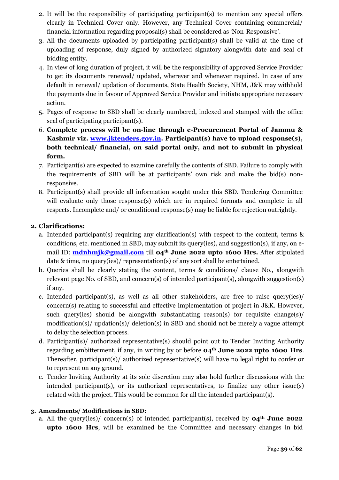- 2. It will be the responsibility of participating participant(s) to mention any special offers clearly in Technical Cover only. However, any Technical Cover containing commercial/ financial information regarding proposal(s) shall be considered as 'Non-Responsive'.
- 3. All the documents uploaded by participating participant(s) shall be valid at the time of uploading of response, duly signed by authorized signatory alongwith date and seal of bidding entity.
- 4. In view of long duration of project, it will be the responsibility of approved Service Provider to get its documents renewed/ updated, wherever and whenever required. In case of any default in renewal/ updation of documents, State Health Society, NHM, J&K may withhold the payments due in favour of Approved Service Provider and initiate appropriate necessary action.
- 5. Pages of response to SBD shall be clearly numbered, indexed and stamped with the office seal of participating participant(s).
- 6. **Complete process will be on-line through e-Procurement Portal of Jammu & Kashmir viz. [www.jktenders.gov.in.](http://www.jktenders.gov.in/) Participant(s) have to upload response(s), both technical/ financial, on said portal only, and not to submit in physical form.**
- 7. Participant(s) are expected to examine carefully the contents of SBD. Failure to comply with the requirements of SBD will be at participants' own risk and make the bid(s) nonresponsive.
- 8. Participant(s) shall provide all information sought under this SBD. Tendering Committee will evaluate only those response(s) which are in required formats and complete in all respects. Incomplete and/ or conditional response(s) may be liable for rejection outrightly.

#### **2. Clarifications:**

- a. Intended participant(s) requiring any clarification(s) with respect to the content, terms & conditions, etc. mentioned in SBD, may submit its query(ies), and suggestion(s), if any, on email ID: **[mdnhmjk@gmail.com](mailto:mdnhmjk@gmail.com)** till **04th June 2022 upto 1600 Hrs.** After stipulated date & time, no query(ies)/ representation(s) of any sort shall be entertained.
- b. Queries shall be clearly stating the content, terms & conditions/ clause No., alongwith relevant page No. of SBD, and concern(s) of intended participant(s), alongwith suggestion(s) if any.
- c. Intended participant(s), as well as all other stakeholders, are free to raise query(ies)/ concern(s) relating to successful and effective implementation of project in J&K. However, such query(ies) should be alongwith substantiating reason(s) for requisite change(s)/ modification(s)/ updation(s)/ deletion(s) in SBD and should not be merely a vague attempt to delay the selection process.
- d. Participant(s)/ authorized representative(s) should point out to Tender Inviting Authority regarding embitterment, if any, in writing by or before **04th June 2022 upto 1600 Hrs**. Thereafter, participant(s)/ authorized representative(s) will have no legal right to confer or to represent on any ground.
- e. Tender Inviting Authority at its sole discretion may also hold further discussions with the intended participant(s), or its authorized representatives, to finalize any other issue(s) related with the project. This would be common for all the intended participant(s).

#### **3. Amendments/ Modifications in SBD:**

a. All the query(ies)/ concern(s) of intended participant(s), received by **04th June 2022 upto 1600 Hrs**, will be examined be the Committee and necessary changes in bid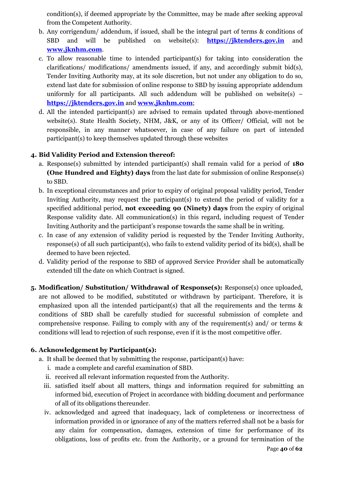condition(s), if deemed appropriate by the Committee, may be made after seeking approval from the Competent Authority.

- b. Any corrigendum/ addendum, if issued, shall be the integral part of terms & conditions of SBD and will be published on website(s): **[https://jktenders.gov.in](https://jktenders.gov.in/)** and **[www.jknhm.com](http://www.jknhm.com/)**.
- c. To allow reasonable time to intended participant(s) for taking into consideration the clarifications/ modifications/ amendments issued, if any, and accordingly submit bid(s), Tender Inviting Authority may, at its sole discretion, but not under any obligation to do so, extend last date for submission of online response to SBD by issuing appropriate addendum uniformly for all participants. All such addendum will be published on website(s)  $$ **[https://jktenders.gov.in](https://jktenders.gov.in/)** and **[www.jknhm.com](http://www.jknhm.com/)**;
- d. All the intended participant(s) are advised to remain updated through above-mentioned website(s). State Health Society, NHM, J&K, or any of its Officer/ Official, will not be responsible, in any manner whatsoever, in case of any failure on part of intended participant(s) to keep themselves updated through these websites

#### **4. Bid Validity Period and Extension thereof:**

- a. Response(s) submitted by intended participant(s) shall remain valid for a period of **180 (One Hundred and Eighty) days** from the last date for submission of online Response(s) to SBD.
- b. In exceptional circumstances and prior to expiry of original proposal validity period, Tender Inviting Authority, may request the participant(s) to extend the period of validity for a specified additional period, **not exceeding 90 (Ninety) days** from the expiry of original Response validity date. All communication(s) in this regard, including request of Tender Inviting Authority and the participant's response towards the same shall be in writing.
- c. In case of any extension of validity period is requested by the Tender Inviting Authority, response(s) of all such participant(s), who fails to extend validity period of its bid(s), shall be deemed to have been rejected.
- d. Validity period of the response to SBD of approved Service Provider shall be automatically extended till the date on which Contract is signed.
- **5. Modification/ Substitution/ Withdrawal of Response(s):** Response(s) once uploaded, are not allowed to be modified, substituted or withdrawn by participant. Therefore, it is emphasized upon all the intended participant(s) that all the requirements and the terms & conditions of SBD shall be carefully studied for successful submission of complete and comprehensive response. Failing to comply with any of the requirement(s) and/ or terms & conditions will lead to rejection of such response, even if it is the most competitive offer.

#### **6. Acknowledgement by Participant(s):**

- a. It shall be deemed that by submitting the response, participant(s) have:
	- i. made a complete and careful examination of SBD.
	- ii. received all relevant information requested from the Authority.
	- iii. satisfied itself about all matters, things and information required for submitting an informed bid, execution of Project in accordance with bidding document and performance of all of its obligations thereunder.
	- iv. acknowledged and agreed that inadequacy, lack of completeness or incorrectness of information provided in or ignorance of any of the matters referred shall not be a basis for any claim for compensation, damages, extension of time for performance of its obligations, loss of profits etc. from the Authority, or a ground for termination of the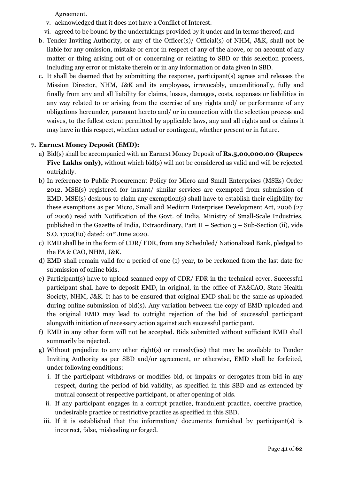Agreement.

- v. acknowledged that it does not have a Conflict of Interest.
- vi. agreed to be bound by the undertakings provided by it under and in terms thereof; and
- b. Tender Inviting Authority, or any of the Officer(s)/ Official(s) of NHM, J&K, shall not be liable for any omission, mistake or error in respect of any of the above, or on account of any matter or thing arising out of or concerning or relating to SBD or this selection process, including any error or mistake therein or in any information or data given in SBD.
- c. It shall be deemed that by submitting the response, participant(s) agrees and releases the Mission Director, NHM, J&K and its employees, irrevocably, unconditionally, fully and finally from any and all liability for claims, losses, damages, costs, expenses or liabilities in any way related to or arising from the exercise of any rights and/ or performance of any obligations hereunder, pursuant hereto and/ or in connection with the selection process and waives, to the fullest extent permitted by applicable laws, any and all rights and or claims it may have in this respect, whether actual or contingent, whether present or in future.

#### **7. Earnest Money Deposit (EMD):**

- a) Bid(s) shall be accompanied with an Earnest Money Deposit of **Rs.5,00,000.00 (Rupees**  Five Lakhs only), without which bid(s) will not be considered as valid and will be rejected outrightly.
- b) In reference to Public Procurement Policy for Micro and Small Enterprises (MSEs) Order 2012, MSE(s) registered for instant/ similar services are exempted from submission of EMD. MSE(s) desirous to claim any exemption(s) shall have to establish their eligibility for these exemptions as per Micro, Small and Medium Enterprises Development Act, 2006 (27 of 2006) read with Notification of the Govt. of India, Ministry of Small-Scale Industries, published in the Gazette of India, Extraordinary, Part II – Section 3 – Sub-Section (ii), vide S.O. 1702(E0) dated: 01st June 2020.
- c) EMD shall be in the form of CDR/ FDR, from any Scheduled/ Nationalized Bank, pledged to the FA & CAO, NHM, J&K.
- d) EMD shall remain valid for a period of one (1) year, to be reckoned from the last date for submission of online bids.
- e) Participant(s) have to upload scanned copy of CDR/ FDR in the technical cover. Successful participant shall have to deposit EMD, in original, in the office of FA&CAO, State Health Society, NHM, J&K. It has to be ensured that original EMD shall be the same as uploaded during online submission of bid(s). Any variation between the copy of EMD uploaded and the original EMD may lead to outright rejection of the bid of successful participant alongwith initiation of necessary action against such successful participant.
- f) EMD in any other form will not be accepted. Bids submitted without sufficient EMD shall summarily be rejected.
- g) Without prejudice to any other right(s) or remedy(ies) that may be available to Tender Inviting Authority as per SBD and/or agreement, or otherwise, EMD shall be forfeited, under following conditions:
	- i. If the participant withdraws or modifies bid, or impairs or derogates from bid in any respect, during the period of bid validity, as specified in this SBD and as extended by mutual consent of respective participant, or after opening of bids.
	- ii. If any participant engages in a corrupt practice, fraudulent practice, coercive practice, undesirable practice or restrictive practice as specified in this SBD.
	- iii. If it is established that the information/ documents furnished by participant(s) is incorrect, false, misleading or forged.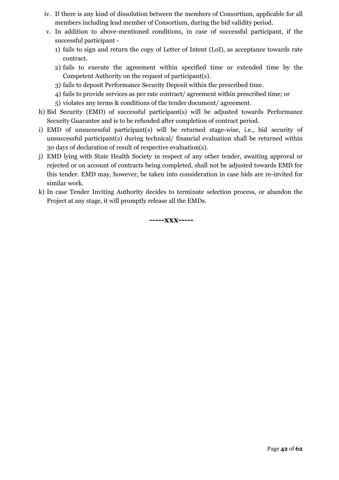- iv. If there is any kind of dissolution between the members of Consortium, applicable for all members including lead member of Consortium, during the bid validity period.
- v. In addition to above-mentioned conditions, in case of successful participant, if the successful participant -
	- 1) fails to sign and return the copy of Letter of Intent (LoI), as acceptance towards rate contract.
	- 2) fails to execute the agreement within specified time or extended time by the Competent Authority on the request of participant(s).
	- 3) fails to deposit Performance Security Deposit within the prescribed time.
	- 4) fails to provide services as per rate contract/ agreement within prescribed time; or
	- 5) violates any terms & conditions of the tender document/ agreement.
- h) Bid Security (EMD) of successful participant(s) will be adjusted towards Performance Security Guarantee and is to be refunded after completion of contract period.
- i) EMD of unsuccessful participant(s) will be returned stage-wise, i.e., bid security of unsuccessful participant(s) during technical/ financial evaluation shall be returned within 30 days of declaration of result of respective evaluation(s).
- j) EMD lying with State Health Society in respect of any other tender, awaiting approval or rejected or on account of contracts being completed, shall not be adjusted towards EMD for this tender. EMD may, however, be taken into consideration in case bids are re-invited for similar work.
- k) In case Tender Inviting Authority decides to terminate selection process, or abandon the Project at any stage, it will promptly release all the EMDs.

**-----xxx-----**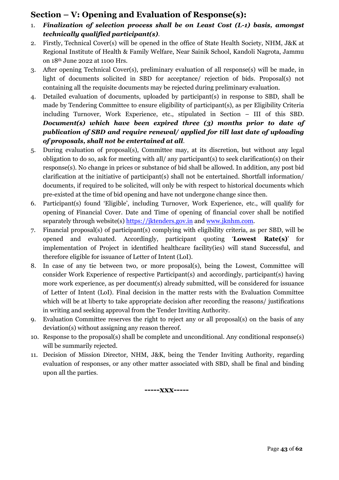### **Section – V: Opening and Evaluation of Response(s):**

- 1. *Finalization of selection process shall be on Least Cost (L-1) basis, amongst technically qualified participant(s)*.
- 2. Firstly, Technical Cover(s) will be opened in the office of State Health Society, NHM, J&K at Regional Institute of Health & Family Welfare, Near Sainik School, Kandoli Nagrota, Jammu on 18th June 2022 at 1100 Hrs.
- 3. After opening Technical Cover(s), preliminary evaluation of all response(s) will be made, in light of documents solicited in SBD for acceptance/ rejection of bids. Proposal(s) not containing all the requisite documents may be rejected during preliminary evaluation.
- 4. Detailed evaluation of documents, uploaded by participant(s) in response to SBD, shall be made by Tendering Committee to ensure eligibility of participant(s), as per Eligibility Criteria including Turnover, Work Experience, etc., stipulated in Section – III of this SBD. *Document(s) which have been expired three (3) months prior to date of publication of SBD and require renewal/ applied for till last date of uploading of proposals, shall not be entertained at all*.
- 5. During evaluation of proposal(s), Committee may, at its discretion, but without any legal obligation to do so, ask for meeting with all/ any participant(s) to seek clarification(s) on their response(s). No change in prices or substance of bid shall be allowed. In addition, any post bid clarification at the initiative of participant(s) shall not be entertained. Shortfall information/ documents, if required to be solicited, will only be with respect to historical documents which pre-existed at the time of bid opening and have not undergone change since then.
- 6. Participant(s) found 'Eligible', including Turnover, Work Experience, etc., will qualify for opening of Financial Cover. Date and Time of opening of financial cover shall be notified separately through website(s) [https://jktenders.gov.in](https://jktenders.gov.in/) and [www.jknhm.com.](http://www.jknhm.com/)
- 7. Financial proposal(s) of participant(s) complying with eligibility criteria, as per SBD, will be opened and evaluated. Accordingly, participant quoting '**Lowest Rate(s)**' for implementation of Project in identified healthcare facility(ies) will stand Successful, and therefore eligible for issuance of Letter of Intent (LoI).
- 8. In case of any tie between two, or more proposal(s), being the Lowest, Committee will consider Work Experience of respective Participant(s) and accordingly, participant(s) having more work experience, as per document(s) already submitted, will be considered for issuance of Letter of Intent (LoI). Final decision in the matter rests with the Evaluation Committee which will be at liberty to take appropriate decision after recording the reasons/ justifications in writing and seeking approval from the Tender Inviting Authority.
- 9. Evaluation Committee reserves the right to reject any or all proposal(s) on the basis of any deviation(s) without assigning any reason thereof.
- 10. Response to the proposal(s) shall be complete and unconditional. Any conditional response(s) will be summarily rejected.
- 11. Decision of Mission Director, NHM, J&K, being the Tender Inviting Authority, regarding evaluation of responses, or any other matter associated with SBD, shall be final and binding upon all the parties.

**-----xxx-----**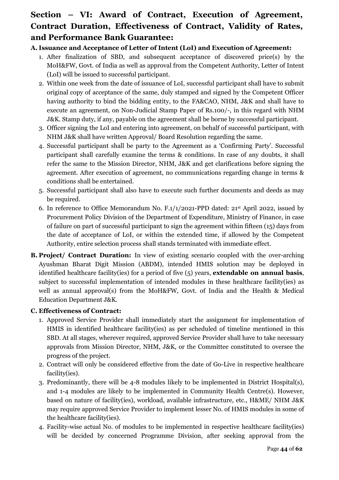## **Section – VI: Award of Contract, Execution of Agreement, Contract Duration, Effectiveness of Contract, Validity of Rates, and Performance Bank Guarantee:**

#### **A. Issuance and Acceptance of Letter of Intent (LoI) and Execution of Agreement:**

- 1. After finalization of SBD, and subsequent acceptance of discovered price(s) by the MoH&FW, Govt. of India as well as approval from the Competent Authority, Letter of Intent (LoI) will be issued to successful participant.
- 2. Within one week from the date of issuance of LoI, successful participant shall have to submit original copy of acceptance of the same, duly stamped and signed by the Competent Officer having authority to bind the bidding entity, to the FA&CAO, NHM, J&K and shall have to execute an agreement, on Non-Judicial Stamp Paper of Rs.100/-, in this regard with NHM J&K. Stamp duty, if any, payable on the agreement shall be borne by successful participant.
- 3. Officer signing the LoI and entering into agreement, on behalf of successful participant, with NHM J&K shall have written Approval/ Board Resolution regarding the same.
- 4. Successful participant shall be party to the Agreement as a 'Confirming Party'. Successful participant shall carefully examine the terms & conditions. In case of any doubts, it shall refer the same to the Mission Director, NHM, J&K and get clarifications before signing the agreement. After execution of agreement, no communications regarding change in terms & conditions shall be entertained.
- 5. Successful participant shall also have to execute such further documents and deeds as may be required.
- 6. In reference to Office Memorandum No. F.1/1/2021-PPD dated: 21st April 2022, issued by Procurement Policy Division of the Department of Expenditure, Ministry of Finance, in case of failure on part of successful participant to sign the agreement within fifteen (15) days from the date of acceptance of LoI, or within the extended time, if allowed by the Competent Authority, entire selection process shall stands terminated with immediate effect.
- **B. Project/ Contract Duration:** In view of existing scenario coupled with the over-arching Ayushman Bharat Digit Mission (ABDM), intended HMIS solution may be deployed in identified healthcare facility(ies) for a period of five (5) years, **extendable on annual basis**, subject to successful implementation of intended modules in these healthcare facility(ies) as well as annual approval(s) from the MoH&FW, Govt. of India and the Health & Medical Education Department J&K.

#### **C. Effectiveness of Contract:**

- 1. Approved Service Provider shall immediately start the assignment for implementation of HMIS in identified healthcare facility(ies) as per scheduled of timeline mentioned in this SBD. At all stages, wherever required, approved Service Provider shall have to take necessary approvals from Mission Director, NHM, J&K, or the Committee constituted to oversee the progress of the project.
- 2. Contract will only be considered effective from the date of Go-Live in respective healthcare facility(ies).
- 3. Predominantly, there will be 4-8 modules likely to be implemented in District Hospital(s), and 1-4 modules are likely to be implemented in Community Health Centre(s). However, based on nature of facility(ies), workload, available infrastructure, etc., H&ME/ NHM J&K may require approved Service Provider to implement lesser No. of HMIS modules in some of the healthcare facility(ies).
- 4. Facility-wise actual No. of modules to be implemented in respective healthcare facility(ies) will be decided by concerned Programme Division, after seeking approval from the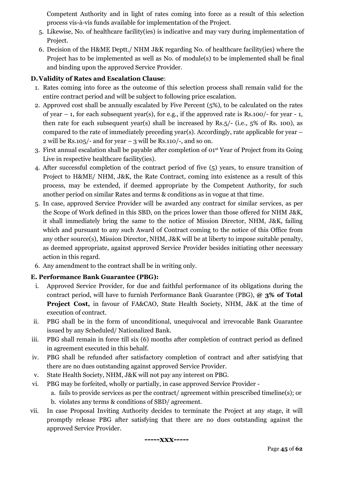Competent Authority and in light of rates coming into force as a result of this selection process vis-à-vis funds available for implementation of the Project.

- 5. Likewise, No. of healthcare facility(ies) is indicative and may vary during implementation of Project.
- 6. Decision of the H&ME Deptt./ NHM J&K regarding No. of healthcare facility(ies) where the Project has to be implemented as well as No. of module(s) to be implemented shall be final and binding upon the approved Service Provider.

#### **D.Validity of Rates and Escalation Clause**:

- 1. Rates coming into force as the outcome of this selection process shall remain valid for the entire contract period and will be subject to following price escalation.
- 2. Approved cost shall be annually escalated by Five Percent (5%), to be calculated on the rates of year  $-1$ , for each subsequent year(s), for e.g., if the approved rate is Rs.100/- for year  $-1$ , then rate for each subsequent year(s) shall be increased by Rs.5/- (i.e., 5% of Rs. 100), as compared to the rate of immediately preceding year(s). Accordingly, rate applicable for year – 2 will be Rs.105/- and for year  $-$  3 will be Rs.110/-, and so on.
- 3. First annual escalation shall be payable after completion of 01st Year of Project from its Going Live in respective healthcare facility(ies).
- 4. After successful completion of the contract period of five (5) years, to ensure transition of Project to H&ME/ NHM, J&K, the Rate Contract, coming into existence as a result of this process, may be extended, if deemed appropriate by the Competent Authority, for such another period on similar Rates and terms & conditions as in vogue at that time.
- 5. In case, approved Service Provider will be awarded any contract for similar services, as per the Scope of Work defined in this SBD, on the prices lower than those offered for NHM J&K, it shall immediately bring the same to the notice of Mission Director, NHM, J&K, failing which and pursuant to any such Award of Contract coming to the notice of this Office from any other source(s), Mission Director, NHM, J&K will be at liberty to impose suitable penalty, as deemed appropriate, against approved Service Provider besides initiating other necessary action in this regard.
- 6. Any amendment to the contract shall be in writing only.

#### **E. Performance Bank Guarantee (PBG):**

- i. Approved Service Provider, for due and faithful performance of its obligations during the contract period, will have to furnish Performance Bank Guarantee (PBG), **@ 3% of Total Project Cost,** in favour of FA&CAO, State Health Society, NHM, J&K at the time of execution of contract.
- ii. PBG shall be in the form of unconditional, unequivocal and irrevocable Bank Guarantee issued by any Scheduled/ Nationalized Bank.
- iii. PBG shall remain in force till six (6) months after completion of contract period as defined in agreement executed in this behalf.
- iv. PBG shall be refunded after satisfactory completion of contract and after satisfying that there are no dues outstanding against approved Service Provider.
- v. State Health Society, NHM, J&K will not pay any interest on PBG.
- vi. PBG may be forfeited, wholly or partially, in case approved Service Provider
	- a. fails to provide services as per the contract/ agreement within prescribed timeline(s); or b. violates any terms & conditions of SBD/ agreement.
- vii. In case Proposal Inviting Authority decides to terminate the Project at any stage, it will promptly release PBG after satisfying that there are no dues outstanding against the approved Service Provider.

**-----xxx-----**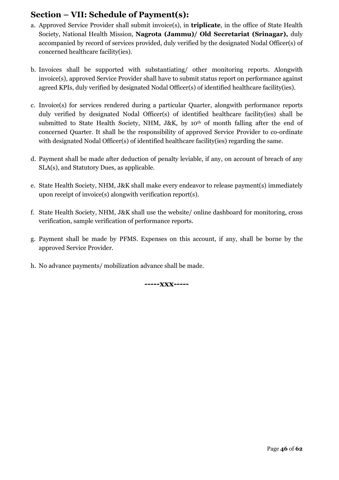### **Section – VII: Schedule of Payment(s):**

- a. Approved Service Provider shall submit invoice(s), in **triplicate**, in the office of State Health Society, National Health Mission, **Nagrota (Jammu)/ Old Secretariat (Srinagar),** duly accompanied by record of services provided, duly verified by the designated Nodal Officer(s) of concerned healthcare facility(ies).
- b. Invoices shall be supported with substantiating/ other monitoring reports. Alongwith invoice(s), approved Service Provider shall have to submit status report on performance against agreed KPIs, duly verified by designated Nodal Officer(s) of identified healthcare facility(ies).
- c. Invoice(s) for services rendered during a particular Quarter, alongwith performance reports duly verified by designated Nodal Officer(s) of identified healthcare facility(ies) shall be submitted to State Health Society, NHM, J&K, by 10<sup>th</sup> of month falling after the end of concerned Quarter. It shall be the responsibility of approved Service Provider to co-ordinate with designated Nodal Officer(s) of identified healthcare facility(ies) regarding the same.
- d. Payment shall be made after deduction of penalty leviable, if any, on account of breach of any SLA(s), and Statutory Dues, as applicable.
- e. State Health Society, NHM, J&K shall make every endeavor to release payment(s) immediately upon receipt of invoice(s) alongwith verification report(s).
- f. State Health Society, NHM, J&K shall use the website/ online dashboard for monitoring, cross verification, sample verification of performance reports.
- g. Payment shall be made by PFMS. Expenses on this account, if any, shall be borne by the approved Service Provider.
- h. No advance payments/ mobilization advance shall be made.

**-----xxx-----**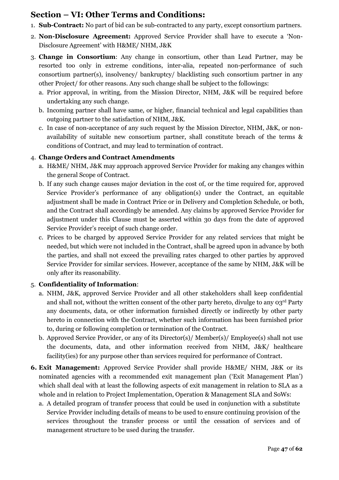### **Section – VI: Other Terms and Conditions:**

- 1. **Sub-Contract:** No part of bid can be sub-contracted to any party, except consortium partners.
- 2. **Non-Disclosure Agreement:** Approved Service Provider shall have to execute a 'Non-Disclosure Agreement' with H&ME/ NHM, J&K
- 3. **Change in Consortium**: Any change in consortium, other than Lead Partner, may be resorted too only in extreme conditions, inter-alia, repeated non-performance of such consortium partner(s), insolvency/ bankruptcy/ blacklisting such consortium partner in any other Project/ for other reasons. Any such change shall be subject to the followings:
	- a. Prior approval, in writing, from the Mission Director, NHM, J&K will be required before undertaking any such change.
	- b. Incoming partner shall have same, or higher, financial technical and legal capabilities than outgoing partner to the satisfaction of NHM, J&K.
	- c. In case of non-acceptance of any such request by the Mission Director, NHM, J&K, or nonavailability of suitable new consortium partner, shall constitute breach of the terms & conditions of Contract, and may lead to termination of contract.

#### 4. **Change Orders and Contract Amendments**

- a. H&ME/ NHM, J&K may approach approved Service Provider for making any changes within the general Scope of Contract.
- b. If any such change causes major deviation in the cost of, or the time required for, approved Service Provider's performance of any obligation(s) under the Contract, an equitable adjustment shall be made in Contract Price or in Delivery and Completion Schedule, or both, and the Contract shall accordingly be amended. Any claims by approved Service Provider for adjustment under this Clause must be asserted within 30 days from the date of approved Service Provider's receipt of such change order.
- c. Prices to be charged by approved Service Provider for any related services that might be needed, but which were not included in the Contract, shall be agreed upon in advance by both the parties, and shall not exceed the prevailing rates charged to other parties by approved Service Provider for similar services. However, acceptance of the same by NHM, J&K will be only after its reasonability.

#### 5. **Confidentiality of Information**:

- a. NHM, J&K, approved Service Provider and all other stakeholders shall keep confidential and shall not, without the written consent of the other party hereto, divulge to any 03rd Party any documents, data, or other information furnished directly or indirectly by other party hereto in connection with the Contract, whether such information has been furnished prior to, during or following completion or termination of the Contract.
- b. Approved Service Provider, or any of its Director(s)/ Member(s)/ Employee(s) shall not use the documents, data, and other information received from NHM, J&K/ healthcare facility(ies) for any purpose other than services required for performance of Contract.
- **6. Exit Management:** Approved Service Provider shall provide H&ME/ NHM, J&K or its nominated agencies with a recommended exit management plan ('Exit Management Plan') which shall deal with at least the following aspects of exit management in relation to SLA as a whole and in relation to Project Implementation, Operation & Management SLA and SoWs:
	- a. A detailed program of transfer process that could be used in conjunction with a substitute Service Provider including details of means to be used to ensure continuing provision of the services throughout the transfer process or until the cessation of services and of management structure to be used during the transfer.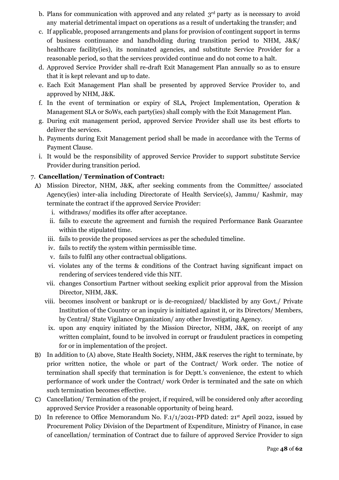- b. Plans for communication with approved and any related  $3<sup>rd</sup>$  party as is necessary to avoid any material detrimental impact on operations as a result of undertaking the transfer; and
- c. If applicable, proposed arrangements and plans for provision of contingent support in terms of business continuance and handholding during transition period to NHM, J&K/ healthcare facility(ies), its nominated agencies, and substitute Service Provider for a reasonable period, so that the services provided continue and do not come to a halt.
- d. Approved Service Provider shall re-draft Exit Management Plan annually so as to ensure that it is kept relevant and up to date.
- e. Each Exit Management Plan shall be presented by approved Service Provider to, and approved by NHM, J&K.
- f. In the event of termination or expiry of SLA, Project Implementation, Operation & Management SLA or SoWs, each party(ies) shall comply with the Exit Management Plan.
- g. During exit management period, approved Service Provider shall use its best efforts to deliver the services.
- h. Payments during Exit Management period shall be made in accordance with the Terms of Payment Clause.
- i. It would be the responsibility of approved Service Provider to support substitute Service Provider during transition period.

#### 7. **Cancellation/ Termination of Contract:**

- A) Mission Director, NHM, J&K, after seeking comments from the Committee/ associated Agency(ies) inter-alia including Directorate of Health Service(s), Jammu/ Kashmir, may terminate the contract if the approved Service Provider:
	- i. withdraws/ modifies its offer after acceptance.
	- ii. fails to execute the agreement and furnish the required Performance Bank Guarantee within the stipulated time.
	- iii. fails to provide the proposed services as per the scheduled timeline.
	- iv. fails to rectify the system within permissible time.
	- v. fails to fulfil any other contractual obligations.
	- vi. violates any of the terms & conditions of the Contract having significant impact on rendering of services tendered vide this NIT.
	- vii. changes Consortium Partner without seeking explicit prior approval from the Mission Director, NHM, J&K.
	- viii. becomes insolvent or bankrupt or is de-recognized/ blacklisted by any Govt./ Private Institution of the Country or an inquiry is initiated against it, or its Directors/ Members, by Central/ State Vigilance Organization/ any other Investigating Agency.
		- ix. upon any enquiry initiated by the Mission Director, NHM, J&K, on receipt of any written complaint, found to be involved in corrupt or fraudulent practices in competing for or in implementation of the project.
- B) In addition to (A) above, State Health Society, NHM, J&K reserves the right to terminate, by prior written notice, the whole or part of the Contract/ Work order. The notice of termination shall specify that termination is for Deptt.'s convenience, the extent to which performance of work under the Contract/ work Order is terminated and the sate on which such termination becomes effective.
- C) Cancellation/ Termination of the project, if required, will be considered only after according approved Service Provider a reasonable opportunity of being heard.
- D) In reference to Office Memorandum No. F.1/1/2021-PPD dated: 21<sup>st</sup> April 2022, issued by Procurement Policy Division of the Department of Expenditure, Ministry of Finance, in case of cancellation/ termination of Contract due to failure of approved Service Provider to sign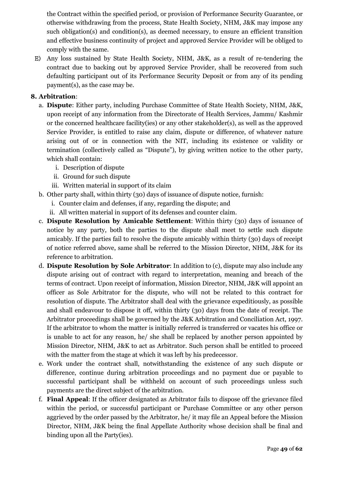the Contract within the specified period, or provision of Performance Security Guarantee, or otherwise withdrawing from the process, State Health Society, NHM, J&K may impose any such obligation(s) and condition(s), as deemed necessary, to ensure an efficient transition and effective business continuity of project and approved Service Provider will be obliged to comply with the same.

E) Any loss sustained by State Health Society, NHM, J&K, as a result of re-tendering the contract due to backing out by approved Service Provider, shall be recovered from such defaulting participant out of its Performance Security Deposit or from any of its pending payment(s), as the case may be.

#### **8. Arbitration**:

- a. **Dispute**: Either party, including Purchase Committee of State Health Society, NHM, J&K, upon receipt of any information from the Directorate of Health Services, Jammu/ Kashmir or the concerned healthcare facility(ies) or any other stakeholder(s), as well as the approved Service Provider, is entitled to raise any claim, dispute or difference, of whatever nature arising out of or in connection with the NIT, including its existence or validity or termination (collectively called as "Dispute"), by giving written notice to the other party, which shall contain:
	- i. Description of dispute
	- ii. Ground for such dispute
	- iii. Written material in support of its claim
- b. Other party shall, within thirty (30) days of issuance of dispute notice, furnish:
	- i. Counter claim and defenses, if any, regarding the dispute; and
	- ii. All written material in support of its defenses and counter claim.
- c. **Dispute Resolution by Amicable Settlement**: Within thirty (30) days of issuance of notice by any party, both the parties to the dispute shall meet to settle such dispute amicably. If the parties fail to resolve the dispute amicably within thirty (30) days of receipt of notice referred above, same shall be referred to the Mission Director, NHM, J&K for its reference to arbitration.
- d. **Dispute Resolution by Sole Arbitrator**: In addition to (c), dispute may also include any dispute arising out of contract with regard to interpretation, meaning and breach of the terms of contract. Upon receipt of information, Mission Director, NHM, J&K will appoint an officer as Sole Arbitrator for the dispute, who will not be related to this contract for resolution of dispute. The Arbitrator shall deal with the grievance expeditiously, as possible and shall endeavour to dispose it off, within thirty (30) days from the date of receipt. The Arbitrator proceedings shall be governed by the J&K Arbitration and Conciliation Act, 1997. If the arbitrator to whom the matter is initially referred is transferred or vacates his office or is unable to act for any reason, he/ she shall be replaced by another person appointed by Mission Director, NHM, J&K to act as Arbitrator. Such person shall be entitled to proceed with the matter from the stage at which it was left by his predecessor.
- e. Work under the contract shall, notwithstanding the existence of any such dispute or difference, continue during arbitration proceedings and no payment due or payable to successful participant shall be withheld on account of such proceedings unless such payments are the direct subject of the arbitration.
- f. **Final Appeal**: If the officer designated as Arbitrator fails to dispose off the grievance filed within the period, or successful participant or Purchase Committee or any other person aggrieved by the order passed by the Arbitrator, he/ it may file an Appeal before the Mission Director, NHM, J&K being the final Appellate Authority whose decision shall be final and binding upon all the Party(ies).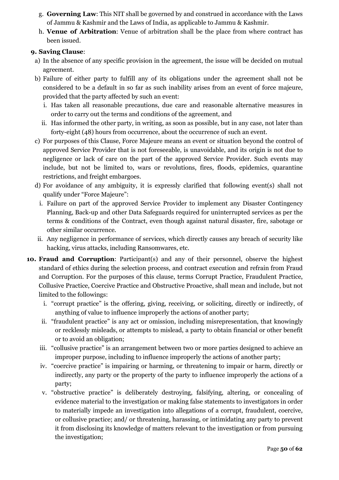- g. **Governing Law**: This NIT shall be governed by and construed in accordance with the Laws of Jammu & Kashmir and the Laws of India, as applicable to Jammu & Kashmir.
- h. **Venue of Arbitration**: Venue of arbitration shall be the place from where contract has been issued.

#### **9. Saving Clause**:

- a) In the absence of any specific provision in the agreement, the issue will be decided on mutual agreement.
- b) Failure of either party to fulfill any of its obligations under the agreement shall not be considered to be a default in so far as such inability arises from an event of force majeure, provided that the party affected by such an event:
	- i. Has taken all reasonable precautions, due care and reasonable alternative measures in order to carry out the terms and conditions of the agreement, and
	- ii. Has informed the other party, in writing, as soon as possible, but in any case, not later than forty-eight (48) hours from occurrence, about the occurrence of such an event.
- c) For purposes of this Clause, Force Majeure means an event or situation beyond the control of approved Service Provider that is not foreseeable, is unavoidable, and its origin is not due to negligence or lack of care on the part of the approved Service Provider. Such events may include, but not be limited to, wars or revolutions, fires, floods, epidemics, quarantine restrictions, and freight embargoes.
- d) For avoidance of any ambiguity, it is expressly clarified that following event(s) shall not qualify under "Force Majeure":
	- i. Failure on part of the approved Service Provider to implement any Disaster Contingency Planning, Back-up and other Data Safeguards required for uninterrupted services as per the terms & conditions of the Contract, even though against natural disaster, fire, sabotage or other similar occurrence.
- ii. Any negligence in performance of services, which directly causes any breach of security like hacking, virus attacks, including Ransomwares, etc.
- **10. Fraud and Corruption**: Participant(s) and any of their personnel, observe the highest standard of ethics during the selection process, and contract execution and refrain from Fraud and Corruption. For the purposes of this clause, terms Corrupt Practice, Fraudulent Practice, Collusive Practice, Coercive Practice and Obstructive Proactive, shall mean and include, but not limited to the followings:
	- i. "corrupt practice" is the offering, giving, receiving, or soliciting, directly or indirectly, of anything of value to influence improperly the actions of another party;
	- ii. "fraudulent practice" is any act or omission, including misrepresentation, that knowingly or recklessly misleads, or attempts to mislead, a party to obtain financial or other benefit or to avoid an obligation;
	- iii. "collusive practice" is an arrangement between two or more parties designed to achieve an improper purpose, including to influence improperly the actions of another party;
	- iv. "coercive practice" is impairing or harming, or threatening to impair or harm, directly or indirectly, any party or the property of the party to influence improperly the actions of a party;
	- v. "obstructive practice" is deliberately destroying, falsifying, altering, or concealing of evidence material to the investigation or making false statements to investigators in order to materially impede an investigation into allegations of a corrupt, fraudulent, coercive, or collusive practice; and/ or threatening, harassing, or intimidating any party to prevent it from disclosing its knowledge of matters relevant to the investigation or from pursuing the investigation;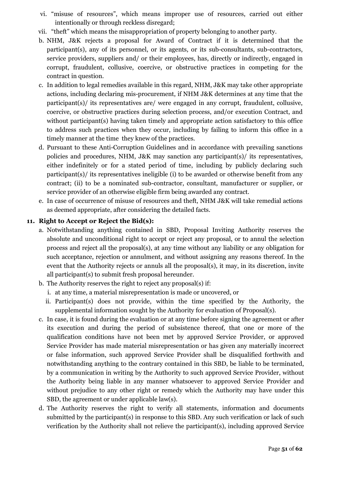- vi. "misuse of resources", which means improper use of resources, carried out either intentionally or through reckless disregard;
- vii. "theft" which means the misappropriation of property belonging to another party.
- b. NHM, J&K rejects a proposal for Award of Contract if it is determined that the participant(s), any of its personnel, or its agents, or its sub-consultants, sub-contractors, service providers, suppliers and/ or their employees, has, directly or indirectly, engaged in corrupt, fraudulent, collusive, coercive, or obstructive practices in competing for the contract in question.
- c. In addition to legal remedies available in this regard, NHM, J&K may take other appropriate actions, including declaring mis-procurement, if NHM J&K determines at any time that the participant(s)/ its representatives are/ were engaged in any corrupt, fraudulent, collusive, coercive, or obstructive practices during selection process, and/or execution Contract, and without participant(s) having taken timely and appropriate action satisfactory to this office to address such practices when they occur, including by failing to inform this office in a timely manner at the time they knew of the practices.
- d. Pursuant to these Anti-Corruption Guidelines and in accordance with prevailing sanctions policies and procedures, NHM, J&K may sanction any participant(s)/ its representatives, either indefinitely or for a stated period of time, including by publicly declaring such participant(s)/ its representatives ineligible (i) to be awarded or otherwise benefit from any contract; (ii) to be a nominated sub-contractor, consultant, manufacturer or supplier, or service provider of an otherwise eligible firm being awarded any contract.
- e. In case of occurrence of misuse of resources and theft, NHM J&K will take remedial actions as deemed appropriate, after considering the detailed facts.

#### **11. Right to Accept or Reject the Bid(s):**

- a. Notwithstanding anything contained in SBD, Proposal Inviting Authority reserves the absolute and unconditional right to accept or reject any proposal, or to annul the selection process and reject all the proposal(s), at any time without any liability or any obligation for such acceptance, rejection or annulment, and without assigning any reasons thereof. In the event that the Authority rejects or annuls all the proposal(s), it may, in its discretion, invite all participant(s) to submit fresh proposal hereunder.
- b. The Authority reserves the right to reject any proposal(s) if:
	- i. at any time, a material misrepresentation is made or uncovered, or
	- ii. Participant(s) does not provide, within the time specified by the Authority, the supplemental information sought by the Authority for evaluation of Proposal(s).
- c. In case, it is found during the evaluation or at any time before signing the agreement or after its execution and during the period of subsistence thereof, that one or more of the qualification conditions have not been met by approved Service Provider, or approved Service Provider has made material misrepresentation or has given any materially incorrect or false information, such approved Service Provider shall be disqualified forthwith and notwithstanding anything to the contrary contained in this SBD, be liable to be terminated, by a communication in writing by the Authority to such approved Service Provider, without the Authority being liable in any manner whatsoever to approved Service Provider and without prejudice to any other right or remedy which the Authority may have under this SBD, the agreement or under applicable law(s).
- d. The Authority reserves the right to verify all statements, information and documents submitted by the participant(s) in response to this SBD. Any such verification or lack of such verification by the Authority shall not relieve the participant(s), including approved Service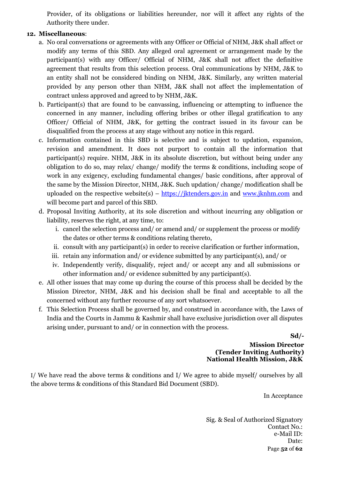Provider, of its obligations or liabilities hereunder, nor will it affect any rights of the Authority there under.

#### **12. Miscellaneous**:

- a. No oral conversations or agreements with any Officer or Official of NHM, J&K shall affect or modify any terms of this SBD. Any alleged oral agreement or arrangement made by the participant(s) with any Officer/ Official of NHM, J&K shall not affect the definitive agreement that results from this selection process. Oral communications by NHM, J&K to an entity shall not be considered binding on NHM, J&K. Similarly, any written material provided by any person other than NHM, J&K shall not affect the implementation of contract unless approved and agreed to by NHM, J&K.
- b. Participant(s) that are found to be canvassing, influencing or attempting to influence the concerned in any manner, including offering bribes or other illegal gratification to any Officer/ Official of NHM, J&K, for getting the contract issued in its favour can be disqualified from the process at any stage without any notice in this regard.
- c. Information contained in this SBD is selective and is subject to updation, expansion, revision and amendment. It does not purport to contain all the information that participant(s) require. NHM, J&K in its absolute discretion, but without being under any obligation to do so, may relax/ change/ modify the terms & conditions, including scope of work in any exigency, excluding fundamental changes/ basic conditions, after approval of the same by the Mission Director, NHM, J&K. Such updation/ change/ modification shall be uploaded on the respective website(s) – [https://jktenders.gov.in](https://jktenders.gov.in/) and [www.jknhm.com](http://www.jknhm.com/) and will become part and parcel of this SBD.
- d. Proposal Inviting Authority, at its sole discretion and without incurring any obligation or liability, reserves the right, at any time, to:
	- i. cancel the selection process and/ or amend and/ or supplement the process or modify the dates or other terms & conditions relating thereto,
	- ii. consult with any participant(s) in order to receive clarification or further information,
	- iii. retain any information and/ or evidence submitted by any participant(s), and/ or
	- iv. Independently verify, disqualify, reject and/ or accept any and all submissions or other information and/ or evidence submitted by any participant(s).
- e. All other issues that may come up during the course of this process shall be decided by the Mission Director, NHM, J&K and his decision shall be final and acceptable to all the concerned without any further recourse of any sort whatsoever.
- f. This Selection Process shall be governed by, and construed in accordance with, the Laws of India and the Courts in Jammu & Kashmir shall have exclusive jurisdiction over all disputes arising under, pursuant to and/ or in connection with the process.

**Sd/-**

**Mission Director (Tender Inviting Authority) National Health Mission, J&K**

I/ We have read the above terms & conditions and I/ We agree to abide myself/ ourselves by all the above terms & conditions of this Standard Bid Document (SBD).

In Acceptance

Page **52** of **62** Sig. & Seal of Authorized Signatory Contact No.: e-Mail ID: Date: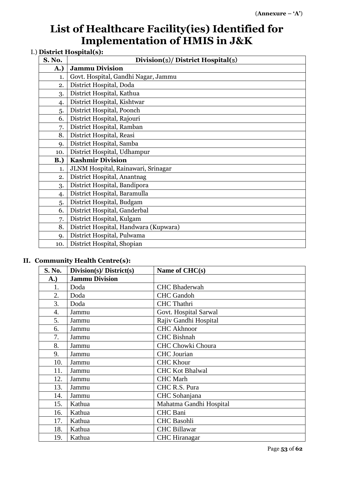# **List of Healthcare Facility(ies) Identified for Implementation of HMIS in J&K**

## I.) **District Hospital(s):**

| S. No.     | Division(s)/ District Hospital(s)     |
|------------|---------------------------------------|
| A.)        | <b>Jammu Division</b>                 |
| 1.         | Govt. Hospital, Gandhi Nagar, Jammu   |
| 2.         | District Hospital, Doda               |
| 3.         | District Hospital, Kathua             |
| 4.         | District Hospital, Kishtwar           |
| 5.         | District Hospital, Poonch             |
| 6.         | District Hospital, Rajouri            |
| 7.         | District Hospital, Ramban             |
| 8.         | District Hospital, Reasi              |
| 9.         | District Hospital, Samba              |
| 10.        | District Hospital, Udhampur           |
| <b>B.)</b> | <b>Kashmir Division</b>               |
| 1.         | JLNM Hospital, Rainawari, Srinagar    |
| 2.         | District Hospital, Anantnag           |
| 3.         | District Hospital, Bandipora          |
| 4.         | District Hospital, Baramulla          |
| 5.         | District Hospital, Budgam             |
| 6.         | District Hospital, Ganderbal          |
| 7.         | District Hospital, Kulgam             |
| 8.         | District Hospital, Handwara (Kupwara) |
| 9.         | District Hospital, Pulwama            |
| 10.        | District Hospital, Shopian            |

#### **II. Community Health Centre(s):**

| S. No.      | Division(s)/ District(s) | Name of CHC(s)           |
|-------------|--------------------------|--------------------------|
| <b>A.</b> ) | <b>Jammu Division</b>    |                          |
| 1.          | Doda                     | <b>CHC</b> Bhaderwah     |
| 2.          | Doda                     | <b>CHC</b> Gandoh        |
| 3.          | Doda                     | <b>CHC</b> Thathri       |
| 4.          | Jammu                    | Govt. Hospital Sarwal    |
| 5.          | Jammu                    | Rajiv Gandhi Hospital    |
| 6.          | Jammu                    | <b>CHC Akhnoor</b>       |
| 7.          | Jammu                    | <b>CHC</b> Bishnah       |
| 8.          | Jammu                    | <b>CHC Chowki Choura</b> |
| 9.          | Jammu                    | <b>CHC</b> Jourian       |
| 10.         | Jammu                    | <b>CHC Khour</b>         |
| 11.         | Jammu                    | <b>CHC Kot Bhalwal</b>   |
| 12.         | Jammu                    | <b>CHC</b> Marh          |
| 13.         | Jammu                    | CHC R.S. Pura            |
| 14.         | Jammu                    | CHC Sohanjana            |
| 15.         | Kathua                   | Mahatma Gandhi Hospital  |
| 16.         | Kathua                   | <b>CHC</b> Bani          |
| 17.         | Kathua                   | <b>CHC</b> Basohli       |
| 18.         | Kathua                   | <b>CHC Billawar</b>      |
| 19.         | Kathua                   | <b>CHC</b> Hiranagar     |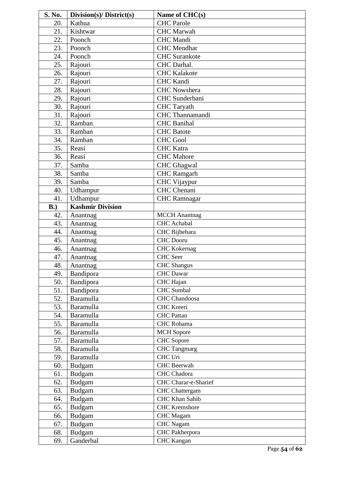| S. No. | Division(s)/ District(s) | Name of CHC(s)        |
|--------|--------------------------|-----------------------|
| 20.    | Kathua                   | <b>CHC</b> Parole     |
| 21.    | Kishtwar                 | <b>CHC</b> Marwah     |
| 22.    | Poonch                   | <b>CHC</b> Mandi      |
| 23.    | Poonch                   | <b>CHC</b> Mendhar    |
| 24.    | Poonch                   | <b>CHC</b> Surankote  |
| 25.    | Rajouri                  | CHC Darhal.           |
| 26.    | Rajouri                  | <b>CHC</b> Kalakote   |
| 27.    | Rajouri                  | <b>CHC</b> Kandi      |
| 28.    | Rajouri                  | <b>CHC</b> Nowshera   |
| 29.    | Rajouri                  | CHC Sunderbani        |
| 30.    | Rajouri                  | <b>CHC</b> Taryath    |
| 31.    | Rajouri                  | CHC Thannamandi       |
| 32.    | Ramban                   | <b>CHC</b> Banihal    |
| 33.    | Ramban                   | <b>CHC</b> Batote     |
| 34.    | Ramban                   | <b>CHC Gool</b>       |
| 35.    | Reasi                    | <b>CHC</b> Katra      |
| 36.    | Reasi                    | <b>CHC</b> Mahore     |
| 37.    | Samba                    | <b>CHC</b> Ghagwal    |
| 38.    | Samba                    | <b>CHC</b> Ramgarh    |
| 39.    | Samba                    | CHC Vijaypur          |
| 40.    | Udhampur                 | CHC Chenani           |
| 41.    | Udhampur                 | <b>CHC</b> Ramnagar   |
| B.     | <b>Kashmir Division</b>  |                       |
| 42.    | Anantnag                 | <b>MCCH</b> Anantnag  |
| 43.    | Anantnag                 | <b>CHC</b> Achabal    |
| 44.    | Anantnag                 | CHC Bijbehara         |
| 45.    | Anantnag                 | <b>CHC</b> Dooru      |
| 46.    | Anantnag                 | <b>CHC Kokernag</b>   |
| 47.    | Anantnag                 | <b>CHC</b> Seer       |
| 48.    | Anantnag                 | <b>CHC</b> Shangus    |
| 49.    | Bandipora                | <b>CHC</b> Dawar      |
| 50.    | Bandipora                | CHC Hajan             |
| 51.    | Bandipora                | CHC Sumbal            |
| 52.    | Baramulla                | CHC Chandoosa         |
| 53.    | <b>Baramulla</b>         | <b>CHC</b> Kreeri     |
| 54.    | Baramulla                | <b>CHC</b> Pattan     |
| 55.    | Baramulla                | <b>CHC</b> Rohama     |
| 56.    | Baramulla                | <b>MCH</b> Sopore     |
| 57.    | Baramulla                | <b>CHC</b> Sopore     |
| 58.    | Baramulla                | <b>CHC</b> Tangmarg   |
| 59.    | Baramulla                | CHC Uri               |
| 60.    | <b>Budgam</b>            | CHC Beerwah           |
| 61.    | Budgam                   | <b>CHC</b> Chadora    |
| 62.    | <b>Budgam</b>            | CHC Charar-e-Sharief  |
| 63.    | <b>Budgam</b>            | <b>CHC</b> Chattergam |
| 64.    | <b>Budgam</b>            | <b>CHC Khan Sahib</b> |
| 65.    | Budgam                   | <b>CHC</b> Kremshore  |
| 66.    | <b>Budgam</b>            | <b>CHC</b> Magam      |
| 67.    | <b>Budgam</b>            | <b>CHC</b> Nagam      |
| 68.    | Budgam                   | CHC Pakherpora        |
| 69.    | Ganderbal                | <b>CHC</b> Kangan     |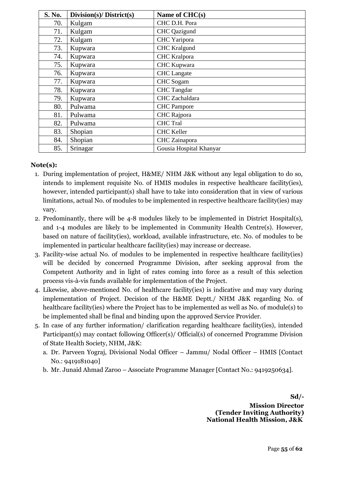| S. No. | Division(s)/ District(s) | Name of CHC(s)          |
|--------|--------------------------|-------------------------|
| 70.    | Kulgam                   | CHC D.H. Pora           |
| 71.    | Kulgam                   | CHC Qazigund            |
| 72.    | Kulgam                   | CHC Yaripora            |
| 73.    | Kupwara                  | <b>CHC</b> Kralgund     |
| 74.    | Kupwara                  | <b>CHC</b> Kralpora     |
| 75.    | Kupwara                  | CHC Kupwara             |
| 76.    | Kupwara                  | <b>CHC</b> Langate      |
| 77.    | Kupwara                  | <b>CHC</b> Sogam        |
| 78.    | Kupwara                  | <b>CHC</b> Tangdar      |
| 79.    | Kupwara                  | CHC Zachaldara          |
| 80.    | Pulwama                  | <b>CHC</b> Pampore      |
| 81.    | Pulwama                  | CHC Rajpora             |
| 82.    | Pulwama                  | <b>CHC</b> Tral         |
| 83.    | Shopian                  | <b>CHC</b> Keller       |
| 84.    | Shopian                  | CHC Zainapora           |
| 85.    | Srinagar                 | Gousia Hospital Khanyar |

#### **Note(s):**

- 1. During implementation of project, H&ME/ NHM J&K without any legal obligation to do so, intends to implement requisite No. of HMIS modules in respective healthcare facility(ies), however, intended participant(s) shall have to take into consideration that in view of various limitations, actual No. of modules to be implemented in respective healthcare facility(ies) may vary.
- 2. Predominantly, there will be 4-8 modules likely to be implemented in District Hospital(s), and 1-4 modules are likely to be implemented in Community Health Centre(s). However, based on nature of facility(ies), workload, available infrastructure, etc. No. of modules to be implemented in particular healthcare facility(ies) may increase or decrease.
- 3. Facility-wise actual No. of modules to be implemented in respective healthcare facility(ies) will be decided by concerned Programme Division, after seeking approval from the Competent Authority and in light of rates coming into force as a result of this selection process vis-à-vis funds available for implementation of the Project.
- 4. Likewise, above-mentioned No. of healthcare facility(ies) is indicative and may vary during implementation of Project. Decision of the H&ME Deptt./ NHM J&K regarding No. of healthcare facility(ies) where the Project has to be implemented as well as No. of module(s) to be implemented shall be final and binding upon the approved Service Provider.
- 5. In case of any further information/ clarification regarding healthcare facility(ies), intended Participant(s) may contact following Officer(s)/ Official(s) of concerned Programme Division of State Health Society, NHM, J&K:
	- a. Dr. Parveen Yograj, Divisional Nodal Officer Jammu/ Nodal Officer HMIS [Contact No.: 9419181040]
	- b. Mr. Junaid Ahmad Zaroo Associate Programme Manager [Contact No.: 9419250634].

**Sd/- Mission Director (Tender Inviting Authority) National Health Mission, J&K**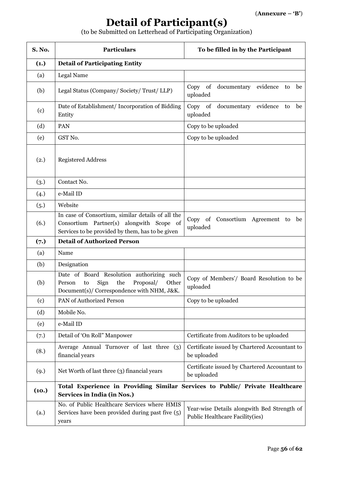# **Detail of Participant(s)**

(to be Submitted on Letterhead of Participating Organization)

| <b>S. No.</b> | <b>Particulars</b>                                                                                                                                | To be filled in by the Participant                                             |
|---------------|---------------------------------------------------------------------------------------------------------------------------------------------------|--------------------------------------------------------------------------------|
| (1.)          | <b>Detail of Participating Entity</b>                                                                                                             |                                                                                |
| (a)           | Legal Name                                                                                                                                        |                                                                                |
| (b)           | Legal Status (Company/Society/Trust/LLP)                                                                                                          | Copy of documentary evidence to<br>be<br>uploaded                              |
| (c)           | Date of Establishment/ Incorporation of Bidding<br>Entity                                                                                         | Copy of documentary<br>evidence<br>be<br>to<br>uploaded                        |
| (d)           | PAN                                                                                                                                               | Copy to be uploaded                                                            |
| (e)           | GST No.                                                                                                                                           | Copy to be uploaded                                                            |
| (2.)          | <b>Registered Address</b>                                                                                                                         |                                                                                |
| (3.)          | Contact No.                                                                                                                                       |                                                                                |
| (4.)          | e-Mail ID                                                                                                                                         |                                                                                |
| (5.)          | Website                                                                                                                                           |                                                                                |
| (6.)          | In case of Consortium, similar details of all the<br>Consortium Partner(s) alongwith Scope of<br>Services to be provided by them, has to be given | Copy of Consortium Agreement to be<br>uploaded                                 |
| (7.)          | <b>Detail of Authorized Person</b>                                                                                                                |                                                                                |
| (a)           | Name                                                                                                                                              |                                                                                |
| (b)           | Designation                                                                                                                                       |                                                                                |
| (b)           | Date of Board Resolution authorizing such<br>Sign<br>the<br>Proposal/<br>Other<br>Person<br>to<br>Document(s)/ Correspondence with NHM, J&K.      | Copy of Members'/ Board Resolution to be<br>uploaded                           |
| (c)           | PAN of Authorized Person                                                                                                                          | Copy to be uploaded                                                            |
| (d)           | Mobile No.                                                                                                                                        |                                                                                |
| (e)           | e-Mail ID                                                                                                                                         |                                                                                |
| (7.)          | Detail of 'On Roll" Manpower                                                                                                                      | Certificate from Auditors to be uploaded                                       |
| (8.)          | Average Annual Turnover of last three (3)<br>financial years                                                                                      | Certificate issued by Chartered Accountant to<br>be uploaded                   |
| (9.)          | Net Worth of last three (3) financial years                                                                                                       | Certificate issued by Chartered Accountant to<br>be uploaded                   |
| (10.)         | Total Experience in Providing Similar Services to Public/ Private Healthcare<br>Services in India (in Nos.)                                       |                                                                                |
| (a.)          | No. of Public Healthcare Services where HMIS<br>Services have been provided during past five (5)<br>years                                         | Year-wise Details alongwith Bed Strength of<br>Public Healthcare Facility(ies) |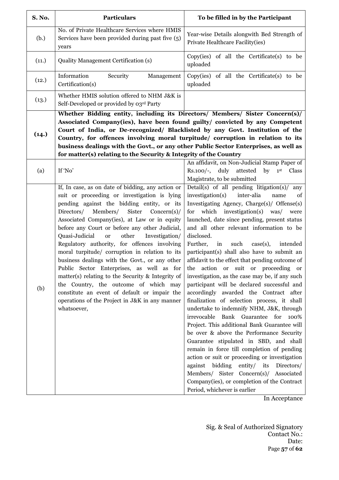| S. No. | <b>Particulars</b>                                                                                                                                                                                                                                                                                                                                                                                                                                                                                                                                                                                                                                                                                                                                                             | To be filled in by the Participant                                                                                                                                                                                                                                                                                                                                                                                                                                                                                                                                                                                                                                                                                                                                                                                                                                                                                                                                                                                                                                                                                                                                                                   |  |
|--------|--------------------------------------------------------------------------------------------------------------------------------------------------------------------------------------------------------------------------------------------------------------------------------------------------------------------------------------------------------------------------------------------------------------------------------------------------------------------------------------------------------------------------------------------------------------------------------------------------------------------------------------------------------------------------------------------------------------------------------------------------------------------------------|------------------------------------------------------------------------------------------------------------------------------------------------------------------------------------------------------------------------------------------------------------------------------------------------------------------------------------------------------------------------------------------------------------------------------------------------------------------------------------------------------------------------------------------------------------------------------------------------------------------------------------------------------------------------------------------------------------------------------------------------------------------------------------------------------------------------------------------------------------------------------------------------------------------------------------------------------------------------------------------------------------------------------------------------------------------------------------------------------------------------------------------------------------------------------------------------------|--|
| (b.)   | No. of Private Healthcare Services where HMIS<br>Services have been provided during past five (5)<br>years                                                                                                                                                                                                                                                                                                                                                                                                                                                                                                                                                                                                                                                                     | Year-wise Details alongwith Bed Strength of<br>Private Healthcare Facility(ies)                                                                                                                                                                                                                                                                                                                                                                                                                                                                                                                                                                                                                                                                                                                                                                                                                                                                                                                                                                                                                                                                                                                      |  |
| (11.)  | <b>Quality Management Certification (s)</b>                                                                                                                                                                                                                                                                                                                                                                                                                                                                                                                                                                                                                                                                                                                                    | Copy(ies) of all the Certificate(s) to be<br>uploaded                                                                                                                                                                                                                                                                                                                                                                                                                                                                                                                                                                                                                                                                                                                                                                                                                                                                                                                                                                                                                                                                                                                                                |  |
| (12.)  | Information<br>Security<br>Management<br>Certification(s)                                                                                                                                                                                                                                                                                                                                                                                                                                                                                                                                                                                                                                                                                                                      | Copy(ies) of all the Certificate(s) to be<br>uploaded                                                                                                                                                                                                                                                                                                                                                                                                                                                                                                                                                                                                                                                                                                                                                                                                                                                                                                                                                                                                                                                                                                                                                |  |
| (13.)  | Whether HMIS solution offered to NHM J&K is<br>Self-Developed or provided by 03rd Party                                                                                                                                                                                                                                                                                                                                                                                                                                                                                                                                                                                                                                                                                        |                                                                                                                                                                                                                                                                                                                                                                                                                                                                                                                                                                                                                                                                                                                                                                                                                                                                                                                                                                                                                                                                                                                                                                                                      |  |
| (14.)  | Whether Bidding entity, including its Directors/ Members/ Sister Concern(s)/<br>Associated Company(ies), have been found guilty/ convicted by any Competent<br>Court of India, or De-recognized/ Blacklisted by any Govt. Institution of the<br>Country, for offences involving moral turpitude/ corruption in relation to its<br>business dealings with the Govt., or any other Public Sector Enterprises, as well as<br>for matter(s) relating to the Security & Integrity of the Country                                                                                                                                                                                                                                                                                    |                                                                                                                                                                                                                                                                                                                                                                                                                                                                                                                                                                                                                                                                                                                                                                                                                                                                                                                                                                                                                                                                                                                                                                                                      |  |
| (a)    | If 'No'                                                                                                                                                                                                                                                                                                                                                                                                                                                                                                                                                                                                                                                                                                                                                                        | An affidavit, on Non-Judicial Stamp Paper of<br>Rs.100/-, duly attested<br>by<br>1 <sup>st</sup><br>Class<br>Magistrate, to be submitted                                                                                                                                                                                                                                                                                                                                                                                                                                                                                                                                                                                                                                                                                                                                                                                                                                                                                                                                                                                                                                                             |  |
| (b)    | If, In case, as on date of bidding, any action or<br>suit or proceeding or investigation is lying<br>pending against the bidding entity, or its<br>Members/ Sister<br>Directors/<br>$Concern(s)$ /<br>Associated Company(ies), at Law or in equity<br>before any Court or before any other Judicial,<br>Quasi-Judicial<br>other<br><b>or</b><br>Investigation/<br>Regulatory authority, for offences involving<br>moral turpitude/ corruption in relation to its<br>business dealings with the Govt., or any other<br>Public Sector Enterprises, as well as for<br>matter(s) relating to the Security & Integrity of<br>the Country, the outcome of which may<br>constitute an event of default or impair the<br>operations of the Project in J&K in any manner<br>whatsoever, | Detail(s) of all pending litigation(s)/<br>any<br>inter-alia<br>investigation(s)<br>of<br>name<br>Investigating Agency, Charge(s)/ Offense(s)<br>for which investigation(s) was/<br>were<br>launched, date since pending, present status<br>and all other relevant information to be<br>disclosed.<br>Further,<br>in<br>such<br>intended<br>$case(s)$ ,<br>participant(s) shall also have to submit an<br>affidavit to the effect that pending outcome of<br>action or suit or proceeding or<br>the<br>investigation, as the case may be, if any such<br>participant will be declared successful and<br>accordingly awarded the Contract after<br>finalization of selection process, it shall<br>undertake to indemnify NHM, J&K, through<br>irrevocable<br>Bank Guarantee for<br>100%<br>Project. This additional Bank Guarantee will<br>be over & above the Performance Security<br>Guarantee stipulated in SBD, and shall<br>remain in force till completion of pending<br>action or suit or proceeding or investigation<br>entity/ its<br>against bidding<br>Directors/<br>Members/ Sister Concern(s)/ Associated<br>Company(ies), or completion of the Contract<br>Period, whichever is earlier |  |

In Acceptance

Page **57** of **62** Sig. & Seal of Authorized Signatory Contact No.: Date: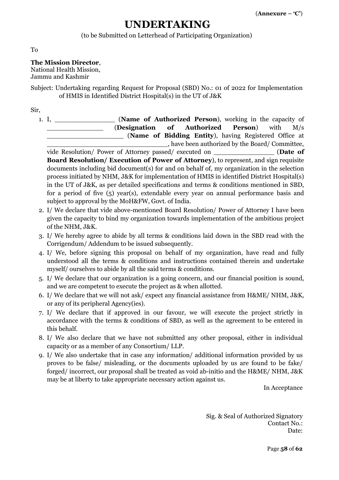## **UNDERTAKING**

(to be Submitted on Letterhead of Participating Organization)

To

#### **The Mission Director**,

National Health Mission,

Jammu and Kashmir

Subject: Undertaking regarding Request for Proposal (SBD) No.: 01 of 2022 for Implementation of HMIS in Identified District Hospital(s) in the UT of J&K

Sir,

1. I, \_\_\_\_\_\_\_\_\_\_\_\_\_\_\_ (**Name of Authorized Person**), working in the capacity of \_\_\_\_\_\_\_\_\_\_\_\_\_\_ (**Designation of Authorized Person**) with M/s \_\_\_\_\_\_\_\_\_\_\_\_\_\_\_\_\_\_\_ (**Name of Bidding Entity**), having Registered Office at \_\_\_\_\_\_\_\_\_\_\_\_\_\_\_\_\_\_\_\_\_\_\_\_\_\_\_\_\_\_, have been authorized by the Board/ Committee, vide Resolution/ Power of Attorney passed/ executed on \_\_\_\_\_\_\_\_\_\_\_\_\_\_\_ (**Date of**

**Board Resolution/ Execution of Power of Attorney**), to represent, and sign requisite documents including bid document(s) for and on behalf of, my organization in the selection process initiated by NHM, J&K for implementation of HMIS in identified District Hospital(s) in the UT of J&K, as per detailed specifications and terms & conditions mentioned in SBD, for a period of five (5) year(s), extendable every year on annual performance basis and subject to approval by the MoH&FW, Govt. of India.

- 2. I/ We declare that vide above-mentioned Board Resolution/ Power of Attorney I have been given the capacity to bind my organization towards implementation of the ambitious project of the NHM, J&K.
- 3. I/ We hereby agree to abide by all terms & conditions laid down in the SBD read with the Corrigendum/ Addendum to be issued subsequently.
- 4. I/ We, before signing this proposal on behalf of my organization, have read and fully understood all the terms & conditions and instructions contained therein and undertake myself/ ourselves to abide by all the said terms & conditions.
- 5. I/ We declare that our organization is a going concern, and our financial position is sound, and we are competent to execute the project as & when allotted.
- 6. I/ We declare that we will not ask/ expect any financial assistance from H&ME/ NHM, J&K, or any of its peripheral Agency(ies).
- 7. I/ We declare that if approved in our favour, we will execute the project strictly in accordance with the terms & conditions of SBD, as well as the agreement to be entered in this behalf.
- 8. I/ We also declare that we have not submitted any other proposal, either in individual capacity or as a member of any Consortium/ LLP.
- 9. I/ We also undertake that in case any information/ additional information provided by us proves to be false/ misleading, or the documents uploaded by us are found to be fake/ forged/ incorrect, our proposal shall be treated as void ab-initio and the H&ME/ NHM, J&K may be at liberty to take appropriate necessary action against us.

In Acceptance

Sig. & Seal of Authorized Signatory Contact No.: Date: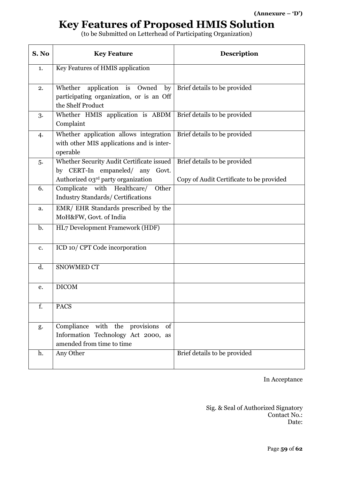# **Key Features of Proposed HMIS Solution**

(to be Submitted on Letterhead of Participating Organization)

| S. No          | <b>Key Feature</b>                                                                                                 | <b>Description</b>                                                       |
|----------------|--------------------------------------------------------------------------------------------------------------------|--------------------------------------------------------------------------|
| 1.             | Key Features of HMIS application                                                                                   |                                                                          |
| 2.             | Whether application is Owned<br>by<br>participating organization, or is an Off<br>the Shelf Product                | Brief details to be provided                                             |
| 3.             | Whether HMIS application is ABDM   Brief details to be provided<br>Complaint                                       |                                                                          |
| 4.             | Whether application allows integration<br>with other MIS applications and is inter-<br>operable                    | Brief details to be provided                                             |
| 5.             | Whether Security Audit Certificate issued<br>by CERT-In empaneled/ any Govt.<br>Authorized 03rd party organization | Brief details to be provided<br>Copy of Audit Certificate to be provided |
| 6.             | Complicate with Healthcare/ Other<br><b>Industry Standards/ Certifications</b>                                     |                                                                          |
| a.             | EMR/ EHR Standards prescribed by the<br>MoH&FW, Govt. of India                                                     |                                                                          |
| $\mathbf{b}$ . | HL7 Development Framework (HDF)                                                                                    |                                                                          |
| c.             | ICD 10/ CPT Code incorporation                                                                                     |                                                                          |
| d.             | <b>SNOWMED CT</b>                                                                                                  |                                                                          |
| e.             | <b>DICOM</b>                                                                                                       |                                                                          |
| f.             | <b>PACS</b>                                                                                                        |                                                                          |
| g.             | Compliance with the provisions<br>of<br>Information Technology Act 2000, as<br>amended from time to time           |                                                                          |
| h.             | Any Other                                                                                                          | Brief details to be provided                                             |

In Acceptance

Sig. & Seal of Authorized Signatory Contact No.: Date: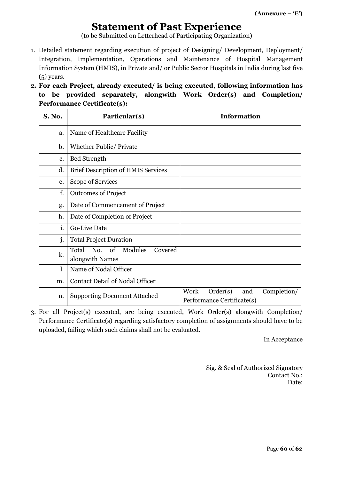# **Statement of Past Experience**

(to be Submitted on Letterhead of Participating Organization)

- 1. Detailed statement regarding execution of project of Designing/ Development, Deployment/ Integration, Implementation, Operations and Maintenance of Hospital Management Information System (HMIS), in Private and/ or Public Sector Hospitals in India during last five (5) years.
- **2. For each Project, already executed/ is being executed, following information has to be provided separately, alongwith Work Order(s) and Completion/ Performance Certificate(s):**

| <b>S. No.</b> | Particular(s)                                         | <b>Information</b>                                                   |
|---------------|-------------------------------------------------------|----------------------------------------------------------------------|
| a.            | Name of Healthcare Facility                           |                                                                      |
| b.            | Whether Public/ Private                               |                                                                      |
| c.            | <b>Bed Strength</b>                                   |                                                                      |
| d.            | <b>Brief Description of HMIS Services</b>             |                                                                      |
| e.            | Scope of Services                                     |                                                                      |
| f.            | <b>Outcomes of Project</b>                            |                                                                      |
| g.            | Date of Commencement of Project                       |                                                                      |
| h.            | Date of Completion of Project                         |                                                                      |
| i.            | <b>Go-Live Date</b>                                   |                                                                      |
| j.            | <b>Total Project Duration</b>                         |                                                                      |
| k.            | No. of Modules<br>Total<br>Covered<br>alongwith Names |                                                                      |
| l.            | Name of Nodal Officer                                 |                                                                      |
| m.            | <b>Contact Detail of Nodal Officer</b>                |                                                                      |
| n.            | <b>Supporting Document Attached</b>                   | Order(s)<br>Work<br>Completion/<br>and<br>Performance Certificate(s) |

3. For all Project(s) executed, are being executed, Work Order(s) alongwith Completion/ Performance Certificate(s) regarding satisfactory completion of assignments should have to be uploaded, failing which such claims shall not be evaluated.

In Acceptance

Sig. & Seal of Authorized Signatory Contact No.: Date: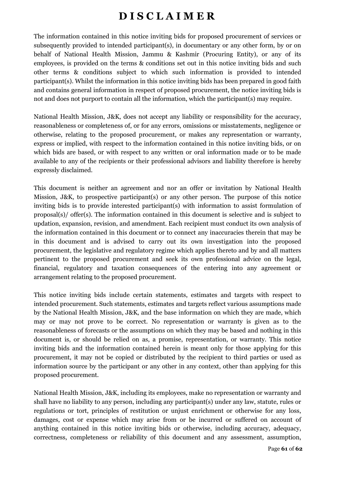# **D I S C L A I M E R**

The information contained in this notice inviting bids for proposed procurement of services or subsequently provided to intended participant(s), in documentary or any other form, by or on behalf of National Health Mission, Jammu & Kashmir (Procuring Entity), or any of its employees, is provided on the terms & conditions set out in this notice inviting bids and such other terms & conditions subject to which such information is provided to intended participant(s). Whilst the information in this notice inviting bids has been prepared in good faith and contains general information in respect of proposed procurement, the notice inviting bids is not and does not purport to contain all the information, which the participant(s) may require.

National Health Mission, J&K, does not accept any liability or responsibility for the accuracy, reasonableness or completeness of, or for any errors, omissions or misstatements, negligence or otherwise, relating to the proposed procurement, or makes any representation or warranty, express or implied, with respect to the information contained in this notice inviting bids, or on which bids are based, or with respect to any written or oral information made or to be made available to any of the recipients or their professional advisors and liability therefore is hereby expressly disclaimed.

This document is neither an agreement and nor an offer or invitation by National Health Mission, J&K, to prospective participant(s) or any other person. The purpose of this notice inviting bids is to provide interested participant(s) with information to assist formulation of proposal(s)/ offer(s). The information contained in this document is selective and is subject to updation, expansion, revision, and amendment. Each recipient must conduct its own analysis of the information contained in this document or to connect any inaccuracies therein that may be in this document and is advised to carry out its own investigation into the proposed procurement, the legislative and regulatory regime which applies thereto and by and all matters pertinent to the proposed procurement and seek its own professional advice on the legal, financial, regulatory and taxation consequences of the entering into any agreement or arrangement relating to the proposed procurement.

This notice inviting bids include certain statements, estimates and targets with respect to intended procurement. Such statements, estimates and targets reflect various assumptions made by the National Health Mission, J&K, and the base information on which they are made, which may or may not prove to be correct. No representation or warranty is given as to the reasonableness of forecasts or the assumptions on which they may be based and nothing in this document is, or should be relied on as, a promise, representation, or warranty. This notice inviting bids and the information contained herein is meant only for those applying for this procurement, it may not be copied or distributed by the recipient to third parties or used as information source by the participant or any other in any context, other than applying for this proposed procurement.

National Health Mission, J&K, including its employees, make no representation or warranty and shall have no liability to any person, including any participant(s) under any law, statute, rules or regulations or tort, principles of restitution or unjust enrichment or otherwise for any loss, damages, cost or expense which may arise from or be incurred or suffered on account of anything contained in this notice inviting bids or otherwise, including accuracy, adequacy, correctness, completeness or reliability of this document and any assessment, assumption,